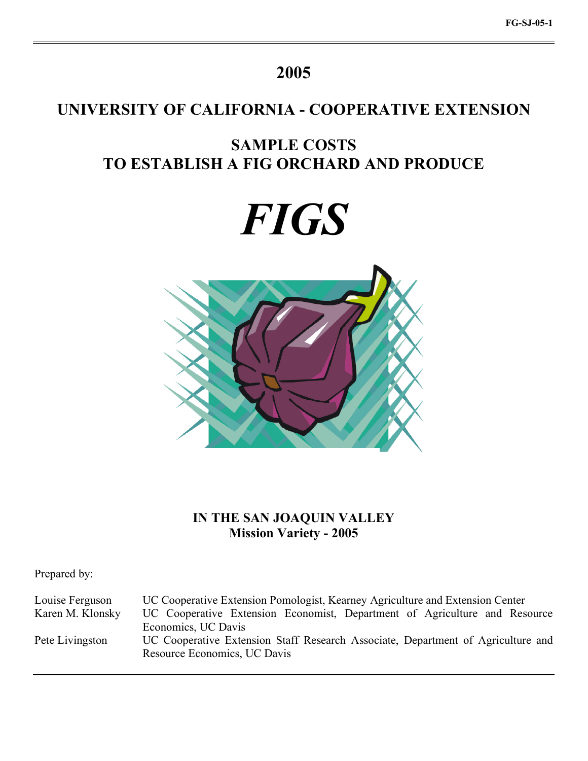# **2005**

# **UNIVERSITY OF CALIFORNIA - COOPERATIVE EXTENSION**

# **SAMPLE COSTS TO ESTABLISH A FIG ORCHARD AND PRODUCE**





## **IN THE SAN JOAQUIN VALLEY Mission Variety - 2005**

Prepared by:

Louise Ferguson UC Cooperative Extension Pomologist, Kearney Agriculture and Extension Center Karen M. Klonsky UC Cooperative Extension Economist, Department of Agriculture and Resource Economics, UC Davis Pete Livingston UC Cooperative Extension Staff Research Associate, Department of Agriculture and Resource Economics, UC Davis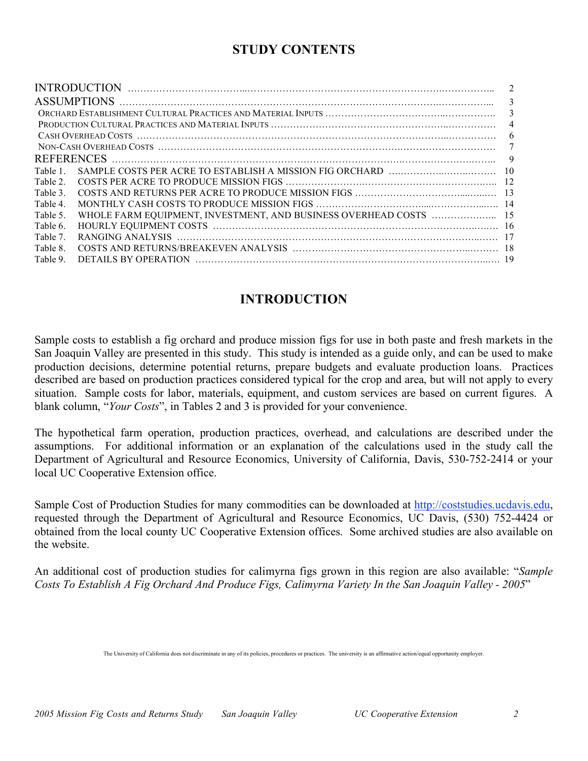# **STUDY CONTENTS**

|          | $\overline{\mathbf{c}}$ |
|----------|-------------------------|
|          | 3                       |
|          | 3                       |
|          | $\overline{4}$          |
|          | 6                       |
|          | 7                       |
|          | 9                       |
| Table 1  |                         |
| Table 2  |                         |
| Table 3. |                         |
| Table 4. |                         |
| Table 5. |                         |
| Table 6. |                         |
| Table 7. |                         |
| Table 8. |                         |
| Table 9. |                         |

# **INTRODUCTION**

Sample costs to establish a fig orchard and produce mission figs for use in both paste and fresh markets in the San Joaquin Valley are presented in this study. This study is intended as a guide only, and can be used to make production decisions, determine potential returns, prepare budgets and evaluate production loans. Practices described are based on production practices considered typical for the crop and area, but will not apply to every situation. Sample costs for labor, materials, equipment, and custom services are based on current figures. A blank column, "*Your Costs*", in Tables 2 and 3 is provided for your convenience.

The hypothetical farm operation, production practices, overhead, and calculations are described under the assumptions. For additional information or an explanation of the calculations used in the study call the Department of Agricultural and Resource Economics, University of California, Davis, 530-752-2414 or your local UC Cooperative Extension office.

Sample Cost of Production Studies for many commodities can be downloaded at http://coststudies.ucdavis.edu, requested through the Department of Agricultural and Resource Economics, UC Davis, (530) 752-4424 or obtained from the local county UC Cooperative Extension offices. Some archived studies are also available on the website.

An additional cost of production studies for calimyrna figs grown in this region are also available: "*Sample Costs To Establish A Fig Orchard And Produce Figs, Calimyrna Variety In the San Joaquin Valley - 2005*"

The University of California does not discriminate in any of its policies, procedures or practices. The university is an affirmative action/equal opportunity employer.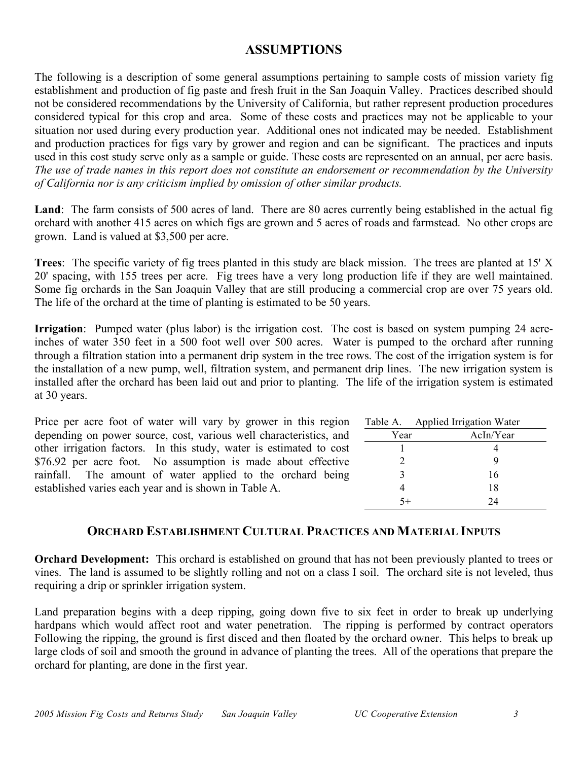## **ASSUMPTIONS**

The following is a description of some general assumptions pertaining to sample costs of mission variety fig establishment and production of fig paste and fresh fruit in the San Joaquin Valley. Practices described should not be considered recommendations by the University of California, but rather represent production procedures considered typical for this crop and area. Some of these costs and practices may not be applicable to your situation nor used during every production year. Additional ones not indicated may be needed. Establishment and production practices for figs vary by grower and region and can be significant. The practices and inputs used in this cost study serve only as a sample or guide. These costs are represented on an annual, per acre basis. *The use of trade names in this report does not constitute an endorsement or recommendation by the University of California nor is any criticism implied by omission of other similar products.*

**Land**: The farm consists of 500 acres of land. There are 80 acres currently being established in the actual fig orchard with another 415 acres on which figs are grown and 5 acres of roads and farmstead. No other crops are grown. Land is valued at \$3,500 per acre.

**Trees**: The specific variety of fig trees planted in this study are black mission. The trees are planted at 15' X 20' spacing, with 155 trees per acre. Fig trees have a very long production life if they are well maintained. Some fig orchards in the San Joaquin Valley that are still producing a commercial crop are over 75 years old. The life of the orchard at the time of planting is estimated to be 50 years.

**Irrigation**: Pumped water (plus labor) is the irrigation cost. The cost is based on system pumping 24 acreinches of water 350 feet in a 500 foot well over 500 acres. Water is pumped to the orchard after running through a filtration station into a permanent drip system in the tree rows. The cost of the irrigation system is for the installation of a new pump, well, filtration system, and permanent drip lines. The new irrigation system is installed after the orchard has been laid out and prior to planting. The life of the irrigation system is estimated at 30 years.

Price per acre foot of water will vary by grower in this region depending on power source, cost, various well characteristics, and other irrigation factors. In this study, water is estimated to cost \$76.92 per acre foot. No assumption is made about effective rainfall. The amount of water applied to the orchard being established varies each year and is shown in Table A.

|               | Table A. Applied Irrigation Water |
|---------------|-----------------------------------|
| Year          | AcIn/Year                         |
|               |                                   |
| $\mathcal{L}$ | 9                                 |
|               | 16                                |
|               | 18                                |
|               | 24                                |

## **ORCHARD ESTABLISHMENT CULTURAL PRACTICES AND MATERIAL INPUTS**

**Orchard Development:** This orchard is established on ground that has not been previously planted to trees or vines. The land is assumed to be slightly rolling and not on a class I soil. The orchard site is not leveled, thus requiring a drip or sprinkler irrigation system.

Land preparation begins with a deep ripping, going down five to six feet in order to break up underlying hardpans which would affect root and water penetration. The ripping is performed by contract operators Following the ripping, the ground is first disced and then floated by the orchard owner. This helps to break up large clods of soil and smooth the ground in advance of planting the trees. All of the operations that prepare the orchard for planting, are done in the first year.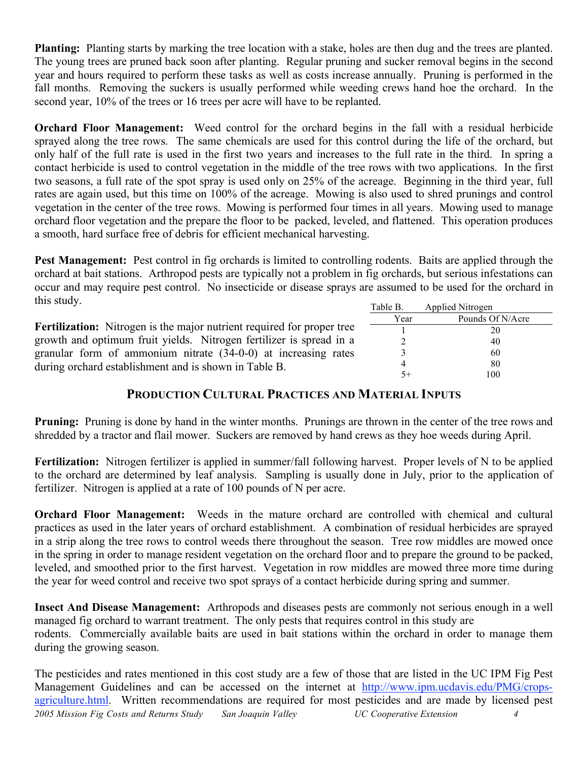**Planting:** Planting starts by marking the tree location with a stake, holes are then dug and the trees are planted. The young trees are pruned back soon after planting. Regular pruning and sucker removal begins in the second year and hours required to perform these tasks as well as costs increase annually. Pruning is performed in the fall months. Removing the suckers is usually performed while weeding crews hand hoe the orchard. In the second year, 10% of the trees or 16 trees per acre will have to be replanted.

**Orchard Floor Management:** Weed control for the orchard begins in the fall with a residual herbicide sprayed along the tree rows. The same chemicals are used for this control during the life of the orchard, but only half of the full rate is used in the first two years and increases to the full rate in the third. In spring a contact herbicide is used to control vegetation in the middle of the tree rows with two applications. In the first two seasons, a full rate of the spot spray is used only on 25% of the acreage. Beginning in the third year, full rates are again used, but this time on 100% of the acreage. Mowing is also used to shred prunings and control vegetation in the center of the tree rows. Mowing is performed four times in all years. Mowing used to manage orchard floor vegetation and the prepare the floor to be packed, leveled, and flattened. This operation produces a smooth, hard surface free of debris for efficient mechanical harvesting.

Table B. Applied Nitrogen **Pest Management:** Pest control in fig orchards is limited to controlling rodents. Baits are applied through the orchard at bait stations. Arthropod pests are typically not a problem in fig orchards, but serious infestations can occur and may require pest control. No insecticide or disease sprays are assumed to be used for the orchard in this study.

|                                                                               | 10010L | $1$ upplied $1$ and $0$ s $\mu$ |
|-------------------------------------------------------------------------------|--------|---------------------------------|
|                                                                               | Year   | Pounds Of N/Acre                |
| <b>Fertilization:</b> Nitrogen is the major nutrient required for proper tree |        | 20                              |
| growth and optimum fruit yields. Nitrogen fertilizer is spread in a           |        | 40                              |
| granular form of ammonium nitrate $(34-0-0)$ at increasing rates              |        | 60                              |
| during orchard establishment and is shown in Table B.                         |        | 80                              |
|                                                                               |        | 100                             |

### **PRODUCTION CULTURAL PRACTICES AND MATERIAL INPUTS**

**Pruning:** Pruning is done by hand in the winter months. Prunings are thrown in the center of the tree rows and shredded by a tractor and flail mower. Suckers are removed by hand crews as they hoe weeds during April.

**Fertilization:** Nitrogen fertilizer is applied in summer/fall following harvest. Proper levels of N to be applied to the orchard are determined by leaf analysis. Sampling is usually done in July, prior to the application of fertilizer. Nitrogen is applied at a rate of 100 pounds of N per acre.

**Orchard Floor Management:** Weeds in the mature orchard are controlled with chemical and cultural practices as used in the later years of orchard establishment. A combination of residual herbicides are sprayed in a strip along the tree rows to control weeds there throughout the season. Tree row middles are mowed once in the spring in order to manage resident vegetation on the orchard floor and to prepare the ground to be packed, leveled, and smoothed prior to the first harvest. Vegetation in row middles are mowed three more time during the year for weed control and receive two spot sprays of a contact herbicide during spring and summer.

**Insect And Disease Management:** Arthropods and diseases pests are commonly not serious enough in a well managed fig orchard to warrant treatment. The only pests that requires control in this study are rodents. Commercially available baits are used in bait stations within the orchard in order to manage them during the growing season.

*2005 Mission Fig Costs and Returns Study San Joaquin Valley UC Cooperative Extension 4* The pesticides and rates mentioned in this cost study are a few of those that are listed in the UC IPM Fig Pest Management Guidelines and can be accessed on the internet at http://www.ipm.ucdavis.edu/PMG/cropsagriculture.html. Written recommendations are required for most pesticides and are made by licensed pest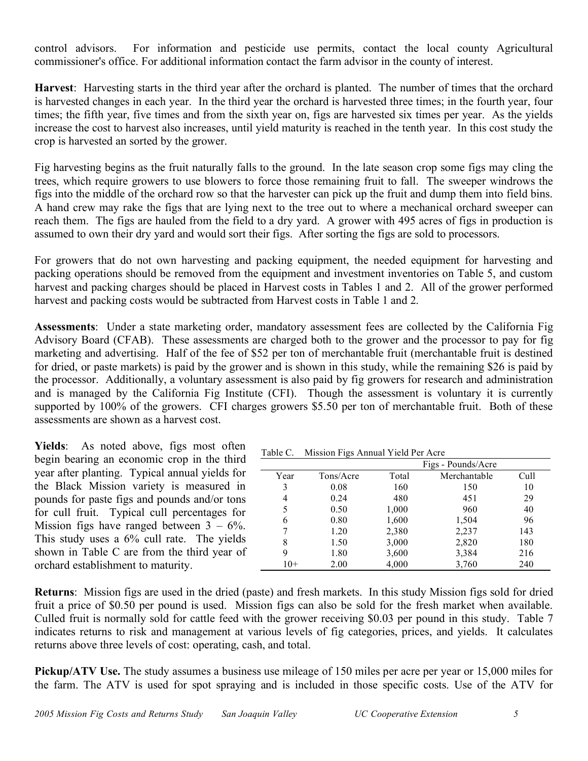control advisors. For information and pesticide use permits, contact the local county Agricultural commissioner's office. For additional information contact the farm advisor in the county of interest.

**Harvest**: Harvesting starts in the third year after the orchard is planted. The number of times that the orchard is harvested changes in each year. In the third year the orchard is harvested three times; in the fourth year, four times; the fifth year, five times and from the sixth year on, figs are harvested six times per year. As the yields increase the cost to harvest also increases, until yield maturity is reached in the tenth year. In this cost study the crop is harvested an sorted by the grower.

Fig harvesting begins as the fruit naturally falls to the ground. In the late season crop some figs may cling the trees, which require growers to use blowers to force those remaining fruit to fall. The sweeper windrows the figs into the middle of the orchard row so that the harvester can pick up the fruit and dump them into field bins. A hand crew may rake the figs that are lying next to the tree out to where a mechanical orchard sweeper can reach them. The figs are hauled from the field to a dry yard. A grower with 495 acres of figs in production is assumed to own their dry yard and would sort their figs. After sorting the figs are sold to processors.

For growers that do not own harvesting and packing equipment, the needed equipment for harvesting and packing operations should be removed from the equipment and investment inventories on Table 5, and custom harvest and packing charges should be placed in Harvest costs in Tables 1 and 2. All of the grower performed harvest and packing costs would be subtracted from Harvest costs in Table 1 and 2.

**Assessments**: Under a state marketing order, mandatory assessment fees are collected by the California Fig Advisory Board (CFAB). These assessments are charged both to the grower and the processor to pay for fig marketing and advertising. Half of the fee of \$52 per ton of merchantable fruit (merchantable fruit is destined for dried, or paste markets) is paid by the grower and is shown in this study, while the remaining \$26 is paid by the processor. Additionally, a voluntary assessment is also paid by fig growers for research and administration and is managed by the California Fig Institute (CFI). Though the assessment is voluntary it is currently supported by 100% of the growers. CFI charges growers \$5.50 per ton of merchantable fruit. Both of these assessments are shown as a harvest cost.

Yields: As noted above, figs most often begin bearing an economic crop in the third year after planting. Typical annual yields for the Black Mission variety is measured in pounds for paste figs and pounds and/or tons for cull fruit. Typical cull percentages for Mission figs have ranged between  $3 - 6\%$ . This study uses a 6% cull rate. The yields shown in Table C are from the third year of orchard establishment to maturity.

| Table C. | Mission Figs Annual Yield Per Acre |  |  |  |  |  |
|----------|------------------------------------|--|--|--|--|--|
|----------|------------------------------------|--|--|--|--|--|

|       | ↩         |       |                    |      |
|-------|-----------|-------|--------------------|------|
|       |           |       | Figs - Pounds/Acre |      |
| Year  | Tons/Acre | Total | Merchantable       | Cull |
| 3     | 0.08      | 160   | 150                | 10   |
| 4     | 0.24      | 480   | 451                | 29   |
| 5     | 0.50      | 1,000 | 960                | 40   |
| 6     | 0.80      | 1,600 | 1,504              | 96   |
| 7     | 1.20      | 2,380 | 2,237              | 143  |
| 8     | 1.50      | 3,000 | 2,820              | 180  |
| 9     | 1.80      | 3,600 | 3,384              | 216  |
| $10+$ | 2.00      | 4,000 | 3,760              | 240  |

**Returns**: Mission figs are used in the dried (paste) and fresh markets. In this study Mission figs sold for dried fruit a price of \$0.50 per pound is used. Mission figs can also be sold for the fresh market when available. Culled fruit is normally sold for cattle feed with the grower receiving \$0.03 per pound in this study. Table 7 indicates returns to risk and management at various levels of fig categories, prices, and yields. It calculates returns above three levels of cost: operating, cash, and total.

**Pickup/ATV Use.** The study assumes a business use mileage of 150 miles per acre per year or 15,000 miles for the farm. The ATV is used for spot spraying and is included in those specific costs. Use of the ATV for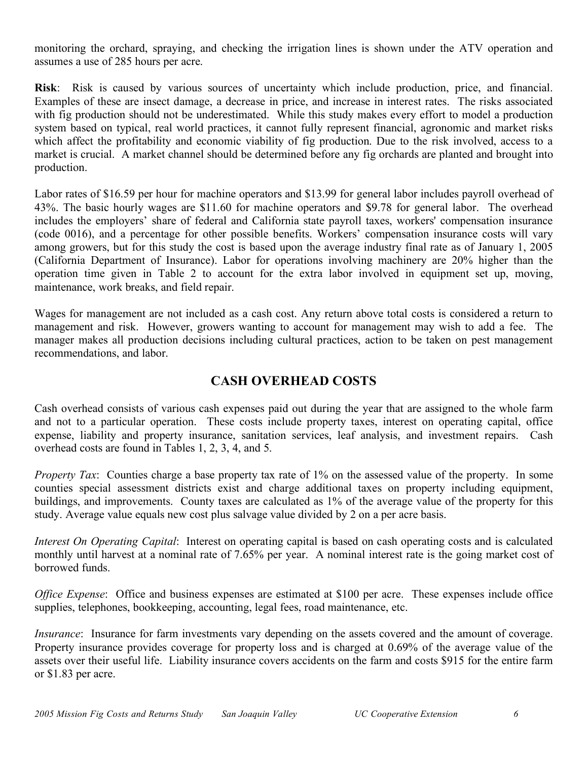monitoring the orchard, spraying, and checking the irrigation lines is shown under the ATV operation and assumes a use of 285 hours per acre.

**Risk**: Risk is caused by various sources of uncertainty which include production, price, and financial. Examples of these are insect damage, a decrease in price, and increase in interest rates. The risks associated with fig production should not be underestimated. While this study makes every effort to model a production system based on typical, real world practices, it cannot fully represent financial, agronomic and market risks which affect the profitability and economic viability of fig production. Due to the risk involved, access to a market is crucial. A market channel should be determined before any fig orchards are planted and brought into production.

Labor rates of \$16.59 per hour for machine operators and \$13.99 for general labor includes payroll overhead of 43%. The basic hourly wages are \$11.60 for machine operators and \$9.78 for general labor. The overhead includes the employers' share of federal and California state payroll taxes, workers' compensation insurance (code 0016), and a percentage for other possible benefits. Workers' compensation insurance costs will vary among growers, but for this study the cost is based upon the average industry final rate as of January 1, 2005 (California Department of Insurance). Labor for operations involving machinery are 20% higher than the operation time given in Table 2 to account for the extra labor involved in equipment set up, moving, maintenance, work breaks, and field repair.

Wages for management are not included as a cash cost. Any return above total costs is considered a return to management and risk. However, growers wanting to account for management may wish to add a fee. The manager makes all production decisions including cultural practices, action to be taken on pest management recommendations, and labor.

## **CASH OVERHEAD COSTS**

Cash overhead consists of various cash expenses paid out during the year that are assigned to the whole farm and not to a particular operation. These costs include property taxes, interest on operating capital, office expense, liability and property insurance, sanitation services, leaf analysis, and investment repairs. Cash overhead costs are found in Tables 1, 2, 3, 4, and 5.

*Property Tax*: Counties charge a base property tax rate of 1% on the assessed value of the property. In some counties special assessment districts exist and charge additional taxes on property including equipment, buildings, and improvements. County taxes are calculated as 1% of the average value of the property for this study. Average value equals new cost plus salvage value divided by 2 on a per acre basis.

*Interest On Operating Capital*: Interest on operating capital is based on cash operating costs and is calculated monthly until harvest at a nominal rate of 7.65% per year. A nominal interest rate is the going market cost of borrowed funds.

*Office Expense*: Office and business expenses are estimated at \$100 per acre. These expenses include office supplies, telephones, bookkeeping, accounting, legal fees, road maintenance, etc.

*Insurance*: Insurance for farm investments vary depending on the assets covered and the amount of coverage. Property insurance provides coverage for property loss and is charged at 0.69% of the average value of the assets over their useful life. Liability insurance covers accidents on the farm and costs \$915 for the entire farm or \$1.83 per acre.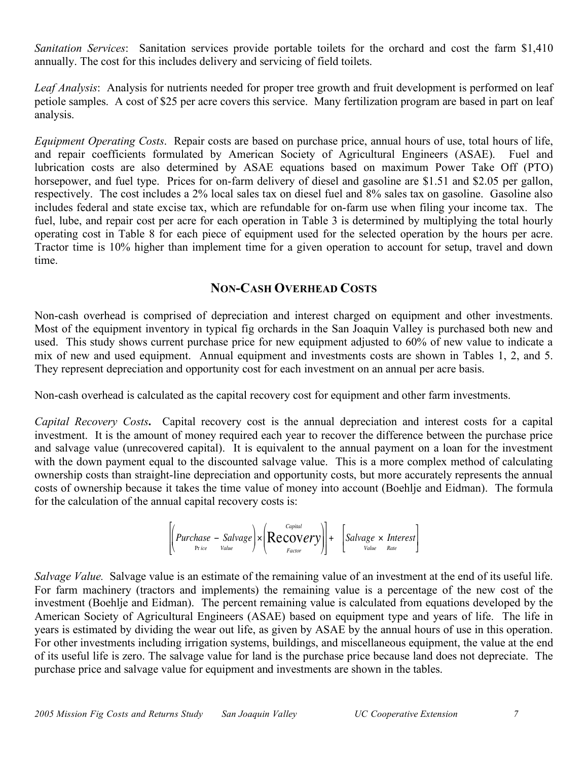*Sanitation Services*: Sanitation services provide portable toilets for the orchard and cost the farm \$1,410 annually. The cost for this includes delivery and servicing of field toilets.

*Leaf Analysis*: Analysis for nutrients needed for proper tree growth and fruit development is performed on leaf petiole samples. A cost of \$25 per acre covers this service. Many fertilization program are based in part on leaf analysis.

*Equipment Operating Costs*. Repair costs are based on purchase price, annual hours of use, total hours of life, and repair coefficients formulated by American Society of Agricultural Engineers (ASAE). Fuel and lubrication costs are also determined by ASAE equations based on maximum Power Take Off (PTO) horsepower, and fuel type. Prices for on-farm delivery of diesel and gasoline are \$1.51 and \$2.05 per gallon, respectively. The cost includes a 2% local sales tax on diesel fuel and 8% sales tax on gasoline. Gasoline also includes federal and state excise tax, which are refundable for on-farm use when filing your income tax. The fuel, lube, and repair cost per acre for each operation in Table 3 is determined by multiplying the total hourly operating cost in Table 8 for each piece of equipment used for the selected operation by the hours per acre. Tractor time is 10% higher than implement time for a given operation to account for setup, travel and down time.

### **NON-CASH OVERHEAD COSTS**

Non-cash overhead is comprised of depreciation and interest charged on equipment and other investments. Most of the equipment inventory in typical fig orchards in the San Joaquin Valley is purchased both new and used. This study shows current purchase price for new equipment adjusted to 60% of new value to indicate a mix of new and used equipment. Annual equipment and investments costs are shown in Tables 1, 2, and 5. They represent depreciation and opportunity cost for each investment on an annual per acre basis.

Non-cash overhead is calculated as the capital recovery cost for equipment and other farm investments.

*Capital Recovery Costs***.** Capital recovery cost is the annual depreciation and interest costs for a capital investment. It is the amount of money required each year to recover the difference between the purchase price and salvage value (unrecovered capital). It is equivalent to the annual payment on a loan for the investment with the down payment equal to the discounted salvage value. This is a more complex method of calculating ownership costs than straight-line depreciation and opportunity costs, but more accurately represents the annual costs of ownership because it takes the time value of money into account (Boehlje and Eidman). The formula for the calculation of the annual capital recovery costs is:

$$
\left[\left(Purchase-Salvage\right)\times\left(\text{Recovery}\right)\right]+\left[Salvage\times\text{Interest}\right]\left\{Purchase\left(\text{Value}\right)\right\}
$$

investment (Boehlje and Eidman). The percent remaining value is calculated from equations developed by the *Salvage Value.* Salvage value is an estimate of the remaining value of an investment at the end of its useful life. For farm machinery (tractors and implements) the remaining value is a percentage of the new cost of the American Society of Agricultural Engineers (ASAE) based on equipment type and years of life. The life in years is estimated by dividing the wear out life, as given by ASAE by the annual hours of use in this operation. For other investments including irrigation systems, buildings, and miscellaneous equipment, the value at the end of its useful life is zero. The salvage value for land is the purchase price because land does not depreciate. The purchase price and salvage value for equipment and investments are shown in the tables.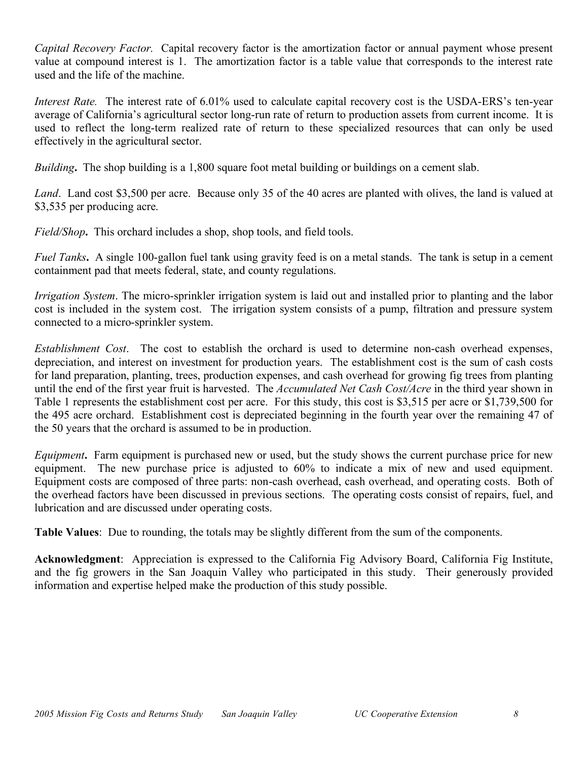*Capital Recovery Factor.* Capital recovery factor is the amortization factor or annual payment whose present value at compound interest is 1. The amortization factor is a table value that corresponds to the interest rate used and the life of the machine.

*Interest Rate.* The interest rate of 6.01% used to calculate capital recovery cost is the USDA-ERS's ten-year average of California's agricultural sector long-run rate of return to production assets from current income. It is used to reflect the long-term realized rate of return to these specialized resources that can only be used effectively in the agricultural sector.

*Building***.** The shop building is a 1,800 square foot metal building or buildings on a cement slab.

*Land*. Land cost \$3,500 per acre. Because only 35 of the 40 acres are planted with olives, the land is valued at \$3,535 per producing acre.

*Field/Shop***.** This orchard includes a shop, shop tools, and field tools.

*Fuel Tanks***.** A single 100-gallon fuel tank using gravity feed is on a metal stands. The tank is setup in a cement containment pad that meets federal, state, and county regulations.

*Irrigation System*. The micro-sprinkler irrigation system is laid out and installed prior to planting and the labor cost is included in the system cost. The irrigation system consists of a pump, filtration and pressure system connected to a micro-sprinkler system.

*Establishment Cost*. The cost to establish the orchard is used to determine non-cash overhead expenses, depreciation, and interest on investment for production years. The establishment cost is the sum of cash costs for land preparation, planting, trees, production expenses, and cash overhead for growing fig trees from planting until the end of the first year fruit is harvested. The *Accumulated Net Cash Cost/Acre* in the third year shown in Table 1 represents the establishment cost per acre. For this study, this cost is \$3,515 per acre or \$1,739,500 for the 495 acre orchard. Establishment cost is depreciated beginning in the fourth year over the remaining 47 of the 50 years that the orchard is assumed to be in production.

*Equipment***.** Farm equipment is purchased new or used, but the study shows the current purchase price for new equipment. The new purchase price is adjusted to 60% to indicate a mix of new and used equipment. Equipment costs are composed of three parts: non-cash overhead, cash overhead, and operating costs. Both of the overhead factors have been discussed in previous sections. The operating costs consist of repairs, fuel, and lubrication and are discussed under operating costs.

**Table Values**: Due to rounding, the totals may be slightly different from the sum of the components.

**Acknowledgment**: Appreciation is expressed to the California Fig Advisory Board, California Fig Institute, and the fig growers in the San Joaquin Valley who participated in this study. Their generously provided information and expertise helped make the production of this study possible.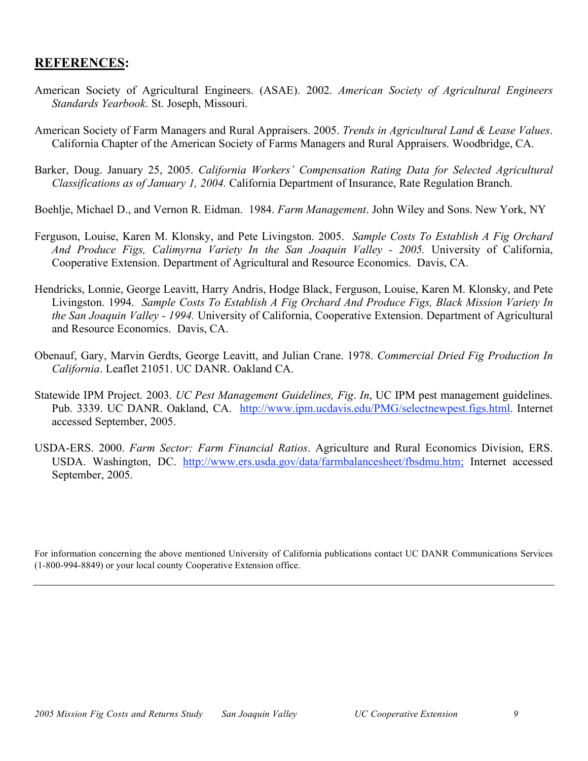### **REFERENCES:**

- American Society of Agricultural Engineers. (ASAE). 2002. *American Society of Agricultural Engineers Standards Yearbook*. St. Joseph, Missouri.
- American Society of Farm Managers and Rural Appraisers. 2005. *Trends in Agricultural Land & Lease Values*. California Chapter of the American Society of Farms Managers and Rural Appraisers. Woodbridge, CA.
- Barker, Doug. January 25, 2005. *California Workers' Compensation Rating Data for Selected Agricultural Classifications as of January 1, 2004.* California Department of Insurance, Rate Regulation Branch.
- Boehlje, Michael D., and Vernon R. Eidman. 1984. *Farm Management*. John Wiley and Sons. New York, NY
- Ferguson, Louise, Karen M. Klonsky, and Pete Livingston. 2005. *Sample Costs To Establish A Fig Orchard And Produce Figs, Calimyrna Variety In the San Joaquin Valley - 2005.* University of California, Cooperative Extension. Department of Agricultural and Resource Economics. Davis, CA.
- Hendricks, Lonnie, George Leavitt, Harry Andris, Hodge Black, Ferguson, Louise, Karen M. Klonsky, and Pete Livingston. 1994. *Sample Costs To Establish A Fig Orchard And Produce Figs, Black Mission Variety In the San Joaquin Valley - 1994.* University of California, Cooperative Extension. Department of Agricultural and Resource Economics. Davis, CA.
- Obenauf, Gary, Marvin Gerdts, George Leavitt, and Julian Crane. 1978. *Commercial Dried Fig Production In California*. Leaflet 21051. UC DANR. Oakland CA.
- Statewide IPM Project. 2003. *UC Pest Management Guidelines, Fig*. *In*, UC IPM pest management guidelines. Pub. 3339. UC DANR. Oakland, CA. http://www.ipm.ucdavis.edu/PMG/selectnewpest.figs.html. Internet accessed September, 2005.
- USDA-ERS. 2000. *Farm Sector: Farm Financial Ratios*. Agriculture and Rural Economics Division, ERS. USDA. Washington, DC. http://www.ers.usda.gov/data/farmbalancesheet/fbsdmu.htm; Internet accessed September, 2005.

For information concerning the above mentioned University of California publications contact UC DANR Communications Services (1-800-994-8849) or your local county Cooperative Extension office.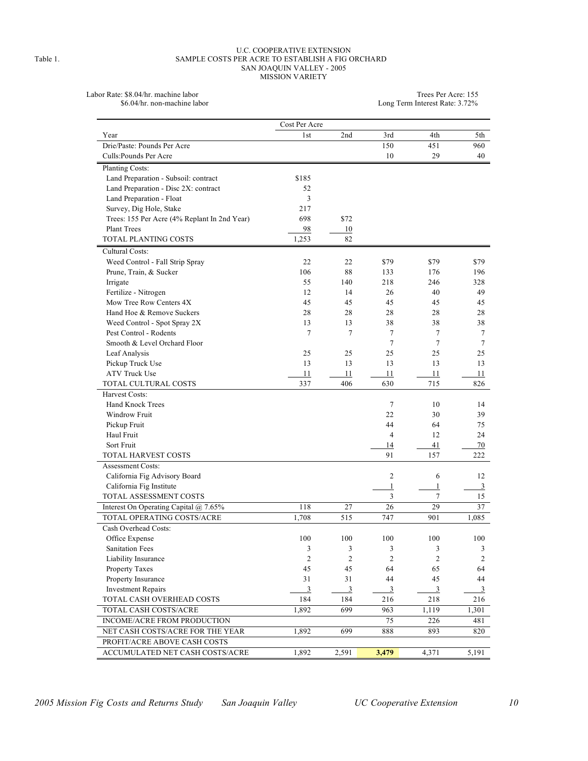#### U.C. COOPERATIVE EXTENSION Table 1. SAMPLE COSTS PER ACRE TO ESTABLISH A FIG ORCHARD SAN JOAQUIN VALLEY - 2005 MISSION VARIETY

Labor Rate: \$8.04/hr. machine labor<br>\$6.04/hr. non-machine labor

 $\label{eq:3.1} \text{Trees Per Acre: } 155\\ \text{Long Term Interest Rate: } 3.72\%$ 

|                                              | Cost Per Acre   |                |                |                |                  |
|----------------------------------------------|-----------------|----------------|----------------|----------------|------------------|
| Year                                         | 1 <sub>st</sub> | 2nd            | 3rd            | 4th            | 5th              |
| Drie/Paste: Pounds Per Acre                  |                 |                | 150            | 451            | 960              |
| Culls: Pounds Per Acre                       |                 |                | 10             | 29             | 40               |
| <b>Planting Costs:</b>                       |                 |                |                |                |                  |
| Land Preparation - Subsoil: contract         | \$185           |                |                |                |                  |
| Land Preparation - Disc 2X: contract         | 52              |                |                |                |                  |
| Land Preparation - Float                     | 3               |                |                |                |                  |
| Survey, Dig Hole, Stake                      | 217             |                |                |                |                  |
| Trees: 155 Per Acre (4% Replant In 2nd Year) | 698             | \$72           |                |                |                  |
| <b>Plant Trees</b>                           | 98              | 10             |                |                |                  |
| TOTAL PLANTING COSTS                         | 1,253           | 82             |                |                |                  |
| Cultural Costs:                              |                 |                |                |                |                  |
| Weed Control - Fall Strip Spray              | 22              | 22             | \$79           | \$79           | \$79             |
| Prune, Train, & Sucker                       | 106             | 88             | 133            | 176            | 196              |
| Irrigate                                     | 55              | 140            | 218            | 246            | 328              |
| Fertilize - Nitrogen                         | 12              | 14             | 26             | 40             | 49               |
| Mow Tree Row Centers 4X                      | 45              | 45             | 45             | 45             | 45               |
| Hand Hoe & Remove Suckers                    | 28              | 28             | 28             | 28             | 28               |
| Weed Control - Spot Spray 2X                 | 13              | 13             | 38             | 38             | 38               |
| Pest Control - Rodents                       | $\tau$          | 7              | 7              | 7              | 7                |
| Smooth & Level Orchard Floor                 |                 |                | 7              | 7              | 7                |
| Leaf Analysis                                | 25              | 25             | 25             | 25             | 25               |
| Pickup Truck Use                             | 13              | 13             | 13             | 13             | 13               |
| <b>ATV Truck Use</b>                         | 11              | 11             | 11             | 11             | 11               |
| TOTAL CULTURAL COSTS                         | 337             | 406            | 630            | 715            | 826              |
| Harvest Costs:                               |                 |                |                |                |                  |
| <b>Hand Knock Trees</b>                      |                 |                | 7              | 10             | 14               |
| Windrow Fruit                                |                 |                | 22             | 30             | 39               |
| Pickup Fruit                                 |                 |                | 44             | 64             | 75               |
| Haul Fruit                                   |                 |                | 4              | 12             | 24               |
| Sort Fruit                                   |                 |                | 14             | 41             | 70               |
| TOTAL HARVEST COSTS                          |                 |                | 91             | 157            | 222              |
| <b>Assessment Costs:</b>                     |                 |                |                |                |                  |
| California Fig Advisory Board                |                 |                | $\overline{c}$ | 6              | 12               |
| California Fig Institute                     |                 |                | 1              | 1              | 3                |
| TOTAL ASSESSMENT COSTS                       |                 |                | 3              | $\tau$         | 15               |
| Interest On Operating Capital @ 7.65%        | 118             | 27             | 26             | 29             | 37               |
| TOTAL OPERATING COSTS/ACRE                   | 1,708           | 515            | 747            | 901            | 1,085            |
| Cash Overhead Costs:                         |                 |                |                |                |                  |
| Office Expense                               | 100             | 100            | 100            | 100            | 100              |
| <b>Sanitation Fees</b>                       | 3               | 3              | 3              | 3              | $\mathfrak{Z}$   |
| Liability Insurance                          | $\overline{c}$  | 2              | $\overline{c}$ | $\overline{c}$ | $\boldsymbol{2}$ |
| Property Taxes                               | 45              | 45             | 64             | 65             | 64               |
| Property Insurance                           | 31              | 31             | 44             | 45             | 44               |
| <b>Investment Repairs</b>                    | $\overline{3}$  | $\mathfrak{Z}$ | $\mathfrak{Z}$ | $\mathfrak{Z}$ | $\mathfrak{Z}$   |
| TOTAL CASH OVERHEAD COSTS                    | 184             | 184            | 216            | 218            | 216              |
| TOTAL CASH COSTS/ACRE                        | 1,892           | 699            | 963            | 1,119          | 1,301            |
| INCOME/ACRE FROM PRODUCTION                  |                 |                | 75             | 226            | 481              |
| NET CASH COSTS/ACRE FOR THE YEAR             | 1,892           | 699            | 888            | 893            | 820              |
| PROFIT/ACRE ABOVE CASH COSTS                 |                 |                |                |                |                  |
| ACCUMULATED NET CASH COSTS/ACRE              | 1,892           | 2,591          | 3,479          | 4,371          | 5,191            |
|                                              |                 |                |                |                |                  |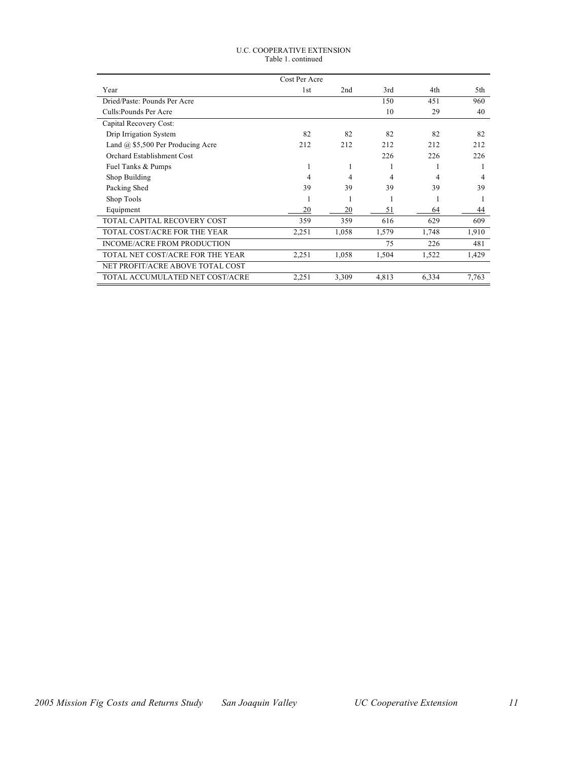#### U.C. COOPERATIVE EXTENSION Table 1. continued

|                                          | Cost Per Acre |       |       |       |       |
|------------------------------------------|---------------|-------|-------|-------|-------|
| Year                                     | 1st           | 2nd   | 3rd   | 4th   | 5th   |
| Dried/Paste: Pounds Per Acre             |               |       | 150   | 451   | 960   |
| Culls: Pounds Per Acre                   |               |       | 10    | 29    | 40    |
| Capital Recovery Cost:                   |               |       |       |       |       |
| Drip Irrigation System                   | 82            | 82    | 82    | 82    | 82    |
| Land $\omega$ \$5,500 Per Producing Acre | 212           | 212   | 212   | 212   | 212   |
| Orchard Establishment Cost               |               |       | 226   | 226   | 226   |
| Fuel Tanks & Pumps                       | 1             | 1     |       |       |       |
| Shop Building                            | 4             | 4     | 4     | 4     | 4     |
| Packing Shed                             | 39            | 39    | 39    | 39    | 39    |
| Shop Tools                               |               | 1     |       |       |       |
| Equipment                                | 20            | 20    | 51    | 64    | 44    |
| TOTAL CAPITAL RECOVERY COST              | 359           | 359   | 616   | 629   | 609   |
| TOTAL COST/ACRE FOR THE YEAR             | 2,251         | 1,058 | 1,579 | 1,748 | 1,910 |
| <b>INCOME/ACRE FROM PRODUCTION</b>       |               |       | 75    | 226   | 481   |
| TOTAL NET COST/ACRE FOR THE YEAR         | 2,251         | 1,058 | 1,504 | 1,522 | 1,429 |
| NET PROFIT/ACRE ABOVE TOTAL COST         |               |       |       |       |       |
| TOTAL ACCUMULATED NET COST/ACRE          | 2,251         | 3,309 | 4,813 | 6,334 | 7,763 |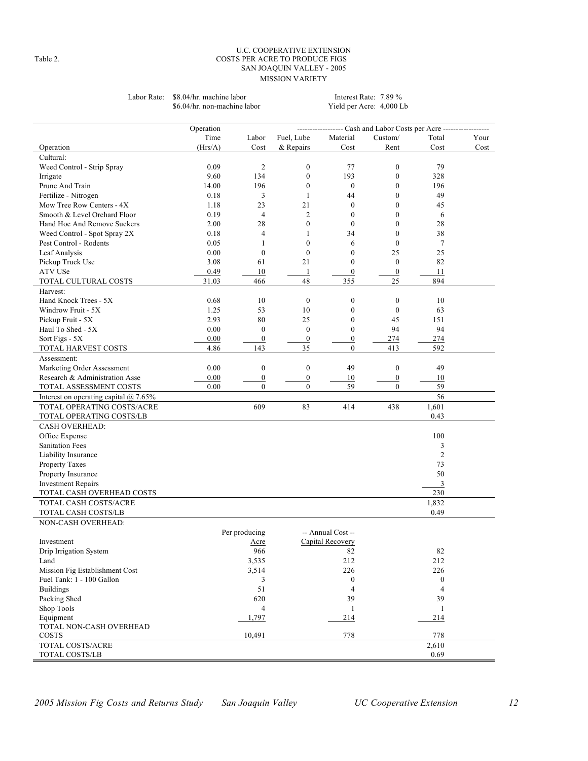#### U.C. COOPERATIVE EXTENSION Table 2. COSTS PER ACRE TO PRODUCE FIGS SAN JOAQUIN VALLEY - 2005 MISSION VARIETY

Labor Rate: \$8.04/hr. machine labor Interest Rate: 7.89 %<br>\$6.04/hr. non-machine labor Yield per Acre: 4,000 Lb \$6.04/hr. non-machine labor

| Time<br>Fuel, Lube<br>Custom/<br>Your<br>Labor<br>Material<br>Total<br>(Hrs/A)<br>& Repairs<br>Cost<br>Cost<br>Operation<br>Cost<br>Cost<br>Rent<br>Cultural:<br>0.09<br>2<br>$\boldsymbol{0}$<br>77<br>$\boldsymbol{0}$<br>79<br>Weed Control - Strip Spray<br>9.60<br>134<br>$\boldsymbol{0}$<br>193<br>$\boldsymbol{0}$<br>328<br>Irrigate<br>$\boldsymbol{0}$<br>Prune And Train<br>14.00<br>$\boldsymbol{0}$<br>$\mathbf{0}$<br>196<br>196<br>Fertilize - Nitrogen<br>0.18<br>3<br>$\mathbf{1}$<br>44<br>$\theta$<br>49<br>Mow Tree Row Centers - 4X<br>1.18<br>23<br>21<br>$\boldsymbol{0}$<br>$\mathbf{0}$<br>45<br>$\overline{c}$<br>$\mathbf{0}$<br>Smooth & Level Orchard Floor<br>0.19<br>$\overline{4}$<br>$\mathbf{0}$<br>6<br>2.00<br>28<br>$\overline{0}$<br>$\theta$<br>$\mathbf{0}$<br>28<br>Hand Hoe And Remove Suckers<br>0.18<br>$\overline{4}$<br>34<br>$\mathbf{0}$<br>38<br>Weed Control - Spot Spray 2X<br>1<br>0.05<br>Pest Control - Rodents<br>$\mathbf{1}$<br>$\mathbf{0}$<br>6<br>$\mathbf{0}$<br>$\tau$<br>$\boldsymbol{0}$<br>$\boldsymbol{0}$<br>$\mathbf{0}$<br>25<br>25<br>0.00<br>Leaf Analysis<br>$\mathbf{0}$<br>$\boldsymbol{0}$<br>82<br>Pickup Truck Use<br>3.08<br>61<br>21<br>ATV USe<br>0.49<br>$\boldsymbol{0}$<br>$\boldsymbol{0}$<br>10<br>$\mathbf{1}$<br>11<br>48<br>355<br>$25\,$<br>894<br>31.03<br>466<br>TOTAL CULTURAL COSTS<br>Harvest:<br>Hand Knock Trees - 5X<br>0.68<br>10<br>$\boldsymbol{0}$<br>$\mathbf{0}$<br>$\mathbf{0}$<br>10<br>$\mathbf{0}$<br>Windrow Fruit - 5X<br>53<br>10<br>$\mathbf{0}$<br>63<br>1.25<br>80<br>25<br>$\boldsymbol{0}$<br>2.93<br>45<br>151<br>Pickup Fruit - 5X<br>Haul To Shed - 5X<br>0.00<br>$\boldsymbol{0}$<br>$\boldsymbol{0}$<br>$\mathbf{0}$<br>94<br>94<br>0.00<br>$\overline{0}$<br>$\overline{0}$<br>$\overline{0}$<br>274<br>274<br>Sort Figs - 5X<br>4.86<br>143<br>35<br>$\theta$<br>413<br>592<br>TOTAL HARVEST COSTS<br>Assessment:<br>0.00<br>$\boldsymbol{0}$<br>$\boldsymbol{0}$<br>49<br>$\boldsymbol{0}$<br>Marketing Order Assessment<br>49<br>Research & Administration Asse<br>0.00<br>$\boldsymbol{0}$<br>$\boldsymbol{0}$<br>10<br>$\boldsymbol{0}$<br>10<br>$\overline{0}$<br>$\mathbf{0}$<br>59<br>59<br>TOTAL ASSESSMENT COSTS<br>0.00<br>$\mathbf{0}$<br>56<br>Interest on operating capital $@$ 7.65%<br>TOTAL OPERATING COSTS/ACRE<br>609<br>83<br>1,601<br>414<br>438<br>0.43<br>TOTAL OPERATING COSTS/LB<br><b>CASH OVERHEAD:</b><br>Office Expense<br>100<br><b>Sanitation Fees</b><br>3<br>2<br>Liability Insurance<br>73<br>Property Taxes<br>50<br>Property Insurance<br>$\overline{3}$<br><b>Investment Repairs</b><br>230<br>TOTAL CASH OVERHEAD COSTS<br>1,832<br>TOTAL CASH COSTS/ACRE<br>0.49<br>TOTAL CASH COSTS/LB<br><b>NON-CASH OVERHEAD:</b><br>Per producing<br>-- Annual Cost --<br>Capital Recovery<br>Investment<br>Acre<br>966<br>82<br>82<br>Drip Irrigation System<br>Land<br>3,535<br>212<br>212<br>226<br>Mission Fig Establishment Cost<br>3,514<br>226<br>Fuel Tank: 1 - 100 Gallon<br>3<br>$\boldsymbol{0}$<br>$\boldsymbol{0}$<br>51<br><b>Buildings</b><br>$\overline{4}$<br>4<br>Packing Shed<br>620<br>39<br>39<br>Shop Tools<br>4<br>$\mathbf{1}$<br>1<br>Equipment<br>1,797<br>214<br>214<br>TOTAL NON-CASH OVERHEAD<br>10,491<br>778<br>778<br><b>COSTS</b><br>TOTAL COSTS/ACRE<br>2,610<br>0.69<br>TOTAL COSTS/LB | Operation |  | ------------------ Cash and Labor Costs per Acre ------------------ |  |
|--------------------------------------------------------------------------------------------------------------------------------------------------------------------------------------------------------------------------------------------------------------------------------------------------------------------------------------------------------------------------------------------------------------------------------------------------------------------------------------------------------------------------------------------------------------------------------------------------------------------------------------------------------------------------------------------------------------------------------------------------------------------------------------------------------------------------------------------------------------------------------------------------------------------------------------------------------------------------------------------------------------------------------------------------------------------------------------------------------------------------------------------------------------------------------------------------------------------------------------------------------------------------------------------------------------------------------------------------------------------------------------------------------------------------------------------------------------------------------------------------------------------------------------------------------------------------------------------------------------------------------------------------------------------------------------------------------------------------------------------------------------------------------------------------------------------------------------------------------------------------------------------------------------------------------------------------------------------------------------------------------------------------------------------------------------------------------------------------------------------------------------------------------------------------------------------------------------------------------------------------------------------------------------------------------------------------------------------------------------------------------------------------------------------------------------------------------------------------------------------------------------------------------------------------------------------------------------------------------------------------------------------------------------------------------------------------------------------------------------------------------------------------------------------------------------------------------------------------------------------------------------------------------------------------------------------------------------------------------------------------------------------------------------------------------------------------------------------------------------------------------------------------------------------------------------------------------------------------------------------------------------------------------------------------------------------------------------------------------------------------------|-----------|--|---------------------------------------------------------------------|--|
|                                                                                                                                                                                                                                                                                                                                                                                                                                                                                                                                                                                                                                                                                                                                                                                                                                                                                                                                                                                                                                                                                                                                                                                                                                                                                                                                                                                                                                                                                                                                                                                                                                                                                                                                                                                                                                                                                                                                                                                                                                                                                                                                                                                                                                                                                                                                                                                                                                                                                                                                                                                                                                                                                                                                                                                                                                                                                                                                                                                                                                                                                                                                                                                                                                                                                                                                                                                |           |  |                                                                     |  |
|                                                                                                                                                                                                                                                                                                                                                                                                                                                                                                                                                                                                                                                                                                                                                                                                                                                                                                                                                                                                                                                                                                                                                                                                                                                                                                                                                                                                                                                                                                                                                                                                                                                                                                                                                                                                                                                                                                                                                                                                                                                                                                                                                                                                                                                                                                                                                                                                                                                                                                                                                                                                                                                                                                                                                                                                                                                                                                                                                                                                                                                                                                                                                                                                                                                                                                                                                                                |           |  |                                                                     |  |
|                                                                                                                                                                                                                                                                                                                                                                                                                                                                                                                                                                                                                                                                                                                                                                                                                                                                                                                                                                                                                                                                                                                                                                                                                                                                                                                                                                                                                                                                                                                                                                                                                                                                                                                                                                                                                                                                                                                                                                                                                                                                                                                                                                                                                                                                                                                                                                                                                                                                                                                                                                                                                                                                                                                                                                                                                                                                                                                                                                                                                                                                                                                                                                                                                                                                                                                                                                                |           |  |                                                                     |  |
|                                                                                                                                                                                                                                                                                                                                                                                                                                                                                                                                                                                                                                                                                                                                                                                                                                                                                                                                                                                                                                                                                                                                                                                                                                                                                                                                                                                                                                                                                                                                                                                                                                                                                                                                                                                                                                                                                                                                                                                                                                                                                                                                                                                                                                                                                                                                                                                                                                                                                                                                                                                                                                                                                                                                                                                                                                                                                                                                                                                                                                                                                                                                                                                                                                                                                                                                                                                |           |  |                                                                     |  |
|                                                                                                                                                                                                                                                                                                                                                                                                                                                                                                                                                                                                                                                                                                                                                                                                                                                                                                                                                                                                                                                                                                                                                                                                                                                                                                                                                                                                                                                                                                                                                                                                                                                                                                                                                                                                                                                                                                                                                                                                                                                                                                                                                                                                                                                                                                                                                                                                                                                                                                                                                                                                                                                                                                                                                                                                                                                                                                                                                                                                                                                                                                                                                                                                                                                                                                                                                                                |           |  |                                                                     |  |
|                                                                                                                                                                                                                                                                                                                                                                                                                                                                                                                                                                                                                                                                                                                                                                                                                                                                                                                                                                                                                                                                                                                                                                                                                                                                                                                                                                                                                                                                                                                                                                                                                                                                                                                                                                                                                                                                                                                                                                                                                                                                                                                                                                                                                                                                                                                                                                                                                                                                                                                                                                                                                                                                                                                                                                                                                                                                                                                                                                                                                                                                                                                                                                                                                                                                                                                                                                                |           |  |                                                                     |  |
|                                                                                                                                                                                                                                                                                                                                                                                                                                                                                                                                                                                                                                                                                                                                                                                                                                                                                                                                                                                                                                                                                                                                                                                                                                                                                                                                                                                                                                                                                                                                                                                                                                                                                                                                                                                                                                                                                                                                                                                                                                                                                                                                                                                                                                                                                                                                                                                                                                                                                                                                                                                                                                                                                                                                                                                                                                                                                                                                                                                                                                                                                                                                                                                                                                                                                                                                                                                |           |  |                                                                     |  |
|                                                                                                                                                                                                                                                                                                                                                                                                                                                                                                                                                                                                                                                                                                                                                                                                                                                                                                                                                                                                                                                                                                                                                                                                                                                                                                                                                                                                                                                                                                                                                                                                                                                                                                                                                                                                                                                                                                                                                                                                                                                                                                                                                                                                                                                                                                                                                                                                                                                                                                                                                                                                                                                                                                                                                                                                                                                                                                                                                                                                                                                                                                                                                                                                                                                                                                                                                                                |           |  |                                                                     |  |
|                                                                                                                                                                                                                                                                                                                                                                                                                                                                                                                                                                                                                                                                                                                                                                                                                                                                                                                                                                                                                                                                                                                                                                                                                                                                                                                                                                                                                                                                                                                                                                                                                                                                                                                                                                                                                                                                                                                                                                                                                                                                                                                                                                                                                                                                                                                                                                                                                                                                                                                                                                                                                                                                                                                                                                                                                                                                                                                                                                                                                                                                                                                                                                                                                                                                                                                                                                                |           |  |                                                                     |  |
|                                                                                                                                                                                                                                                                                                                                                                                                                                                                                                                                                                                                                                                                                                                                                                                                                                                                                                                                                                                                                                                                                                                                                                                                                                                                                                                                                                                                                                                                                                                                                                                                                                                                                                                                                                                                                                                                                                                                                                                                                                                                                                                                                                                                                                                                                                                                                                                                                                                                                                                                                                                                                                                                                                                                                                                                                                                                                                                                                                                                                                                                                                                                                                                                                                                                                                                                                                                |           |  |                                                                     |  |
|                                                                                                                                                                                                                                                                                                                                                                                                                                                                                                                                                                                                                                                                                                                                                                                                                                                                                                                                                                                                                                                                                                                                                                                                                                                                                                                                                                                                                                                                                                                                                                                                                                                                                                                                                                                                                                                                                                                                                                                                                                                                                                                                                                                                                                                                                                                                                                                                                                                                                                                                                                                                                                                                                                                                                                                                                                                                                                                                                                                                                                                                                                                                                                                                                                                                                                                                                                                |           |  |                                                                     |  |
|                                                                                                                                                                                                                                                                                                                                                                                                                                                                                                                                                                                                                                                                                                                                                                                                                                                                                                                                                                                                                                                                                                                                                                                                                                                                                                                                                                                                                                                                                                                                                                                                                                                                                                                                                                                                                                                                                                                                                                                                                                                                                                                                                                                                                                                                                                                                                                                                                                                                                                                                                                                                                                                                                                                                                                                                                                                                                                                                                                                                                                                                                                                                                                                                                                                                                                                                                                                |           |  |                                                                     |  |
|                                                                                                                                                                                                                                                                                                                                                                                                                                                                                                                                                                                                                                                                                                                                                                                                                                                                                                                                                                                                                                                                                                                                                                                                                                                                                                                                                                                                                                                                                                                                                                                                                                                                                                                                                                                                                                                                                                                                                                                                                                                                                                                                                                                                                                                                                                                                                                                                                                                                                                                                                                                                                                                                                                                                                                                                                                                                                                                                                                                                                                                                                                                                                                                                                                                                                                                                                                                |           |  |                                                                     |  |
|                                                                                                                                                                                                                                                                                                                                                                                                                                                                                                                                                                                                                                                                                                                                                                                                                                                                                                                                                                                                                                                                                                                                                                                                                                                                                                                                                                                                                                                                                                                                                                                                                                                                                                                                                                                                                                                                                                                                                                                                                                                                                                                                                                                                                                                                                                                                                                                                                                                                                                                                                                                                                                                                                                                                                                                                                                                                                                                                                                                                                                                                                                                                                                                                                                                                                                                                                                                |           |  |                                                                     |  |
|                                                                                                                                                                                                                                                                                                                                                                                                                                                                                                                                                                                                                                                                                                                                                                                                                                                                                                                                                                                                                                                                                                                                                                                                                                                                                                                                                                                                                                                                                                                                                                                                                                                                                                                                                                                                                                                                                                                                                                                                                                                                                                                                                                                                                                                                                                                                                                                                                                                                                                                                                                                                                                                                                                                                                                                                                                                                                                                                                                                                                                                                                                                                                                                                                                                                                                                                                                                |           |  |                                                                     |  |
|                                                                                                                                                                                                                                                                                                                                                                                                                                                                                                                                                                                                                                                                                                                                                                                                                                                                                                                                                                                                                                                                                                                                                                                                                                                                                                                                                                                                                                                                                                                                                                                                                                                                                                                                                                                                                                                                                                                                                                                                                                                                                                                                                                                                                                                                                                                                                                                                                                                                                                                                                                                                                                                                                                                                                                                                                                                                                                                                                                                                                                                                                                                                                                                                                                                                                                                                                                                |           |  |                                                                     |  |
|                                                                                                                                                                                                                                                                                                                                                                                                                                                                                                                                                                                                                                                                                                                                                                                                                                                                                                                                                                                                                                                                                                                                                                                                                                                                                                                                                                                                                                                                                                                                                                                                                                                                                                                                                                                                                                                                                                                                                                                                                                                                                                                                                                                                                                                                                                                                                                                                                                                                                                                                                                                                                                                                                                                                                                                                                                                                                                                                                                                                                                                                                                                                                                                                                                                                                                                                                                                |           |  |                                                                     |  |
|                                                                                                                                                                                                                                                                                                                                                                                                                                                                                                                                                                                                                                                                                                                                                                                                                                                                                                                                                                                                                                                                                                                                                                                                                                                                                                                                                                                                                                                                                                                                                                                                                                                                                                                                                                                                                                                                                                                                                                                                                                                                                                                                                                                                                                                                                                                                                                                                                                                                                                                                                                                                                                                                                                                                                                                                                                                                                                                                                                                                                                                                                                                                                                                                                                                                                                                                                                                |           |  |                                                                     |  |
|                                                                                                                                                                                                                                                                                                                                                                                                                                                                                                                                                                                                                                                                                                                                                                                                                                                                                                                                                                                                                                                                                                                                                                                                                                                                                                                                                                                                                                                                                                                                                                                                                                                                                                                                                                                                                                                                                                                                                                                                                                                                                                                                                                                                                                                                                                                                                                                                                                                                                                                                                                                                                                                                                                                                                                                                                                                                                                                                                                                                                                                                                                                                                                                                                                                                                                                                                                                |           |  |                                                                     |  |
|                                                                                                                                                                                                                                                                                                                                                                                                                                                                                                                                                                                                                                                                                                                                                                                                                                                                                                                                                                                                                                                                                                                                                                                                                                                                                                                                                                                                                                                                                                                                                                                                                                                                                                                                                                                                                                                                                                                                                                                                                                                                                                                                                                                                                                                                                                                                                                                                                                                                                                                                                                                                                                                                                                                                                                                                                                                                                                                                                                                                                                                                                                                                                                                                                                                                                                                                                                                |           |  |                                                                     |  |
|                                                                                                                                                                                                                                                                                                                                                                                                                                                                                                                                                                                                                                                                                                                                                                                                                                                                                                                                                                                                                                                                                                                                                                                                                                                                                                                                                                                                                                                                                                                                                                                                                                                                                                                                                                                                                                                                                                                                                                                                                                                                                                                                                                                                                                                                                                                                                                                                                                                                                                                                                                                                                                                                                                                                                                                                                                                                                                                                                                                                                                                                                                                                                                                                                                                                                                                                                                                |           |  |                                                                     |  |
|                                                                                                                                                                                                                                                                                                                                                                                                                                                                                                                                                                                                                                                                                                                                                                                                                                                                                                                                                                                                                                                                                                                                                                                                                                                                                                                                                                                                                                                                                                                                                                                                                                                                                                                                                                                                                                                                                                                                                                                                                                                                                                                                                                                                                                                                                                                                                                                                                                                                                                                                                                                                                                                                                                                                                                                                                                                                                                                                                                                                                                                                                                                                                                                                                                                                                                                                                                                |           |  |                                                                     |  |
|                                                                                                                                                                                                                                                                                                                                                                                                                                                                                                                                                                                                                                                                                                                                                                                                                                                                                                                                                                                                                                                                                                                                                                                                                                                                                                                                                                                                                                                                                                                                                                                                                                                                                                                                                                                                                                                                                                                                                                                                                                                                                                                                                                                                                                                                                                                                                                                                                                                                                                                                                                                                                                                                                                                                                                                                                                                                                                                                                                                                                                                                                                                                                                                                                                                                                                                                                                                |           |  |                                                                     |  |
|                                                                                                                                                                                                                                                                                                                                                                                                                                                                                                                                                                                                                                                                                                                                                                                                                                                                                                                                                                                                                                                                                                                                                                                                                                                                                                                                                                                                                                                                                                                                                                                                                                                                                                                                                                                                                                                                                                                                                                                                                                                                                                                                                                                                                                                                                                                                                                                                                                                                                                                                                                                                                                                                                                                                                                                                                                                                                                                                                                                                                                                                                                                                                                                                                                                                                                                                                                                |           |  |                                                                     |  |
|                                                                                                                                                                                                                                                                                                                                                                                                                                                                                                                                                                                                                                                                                                                                                                                                                                                                                                                                                                                                                                                                                                                                                                                                                                                                                                                                                                                                                                                                                                                                                                                                                                                                                                                                                                                                                                                                                                                                                                                                                                                                                                                                                                                                                                                                                                                                                                                                                                                                                                                                                                                                                                                                                                                                                                                                                                                                                                                                                                                                                                                                                                                                                                                                                                                                                                                                                                                |           |  |                                                                     |  |
|                                                                                                                                                                                                                                                                                                                                                                                                                                                                                                                                                                                                                                                                                                                                                                                                                                                                                                                                                                                                                                                                                                                                                                                                                                                                                                                                                                                                                                                                                                                                                                                                                                                                                                                                                                                                                                                                                                                                                                                                                                                                                                                                                                                                                                                                                                                                                                                                                                                                                                                                                                                                                                                                                                                                                                                                                                                                                                                                                                                                                                                                                                                                                                                                                                                                                                                                                                                |           |  |                                                                     |  |
|                                                                                                                                                                                                                                                                                                                                                                                                                                                                                                                                                                                                                                                                                                                                                                                                                                                                                                                                                                                                                                                                                                                                                                                                                                                                                                                                                                                                                                                                                                                                                                                                                                                                                                                                                                                                                                                                                                                                                                                                                                                                                                                                                                                                                                                                                                                                                                                                                                                                                                                                                                                                                                                                                                                                                                                                                                                                                                                                                                                                                                                                                                                                                                                                                                                                                                                                                                                |           |  |                                                                     |  |
|                                                                                                                                                                                                                                                                                                                                                                                                                                                                                                                                                                                                                                                                                                                                                                                                                                                                                                                                                                                                                                                                                                                                                                                                                                                                                                                                                                                                                                                                                                                                                                                                                                                                                                                                                                                                                                                                                                                                                                                                                                                                                                                                                                                                                                                                                                                                                                                                                                                                                                                                                                                                                                                                                                                                                                                                                                                                                                                                                                                                                                                                                                                                                                                                                                                                                                                                                                                |           |  |                                                                     |  |
|                                                                                                                                                                                                                                                                                                                                                                                                                                                                                                                                                                                                                                                                                                                                                                                                                                                                                                                                                                                                                                                                                                                                                                                                                                                                                                                                                                                                                                                                                                                                                                                                                                                                                                                                                                                                                                                                                                                                                                                                                                                                                                                                                                                                                                                                                                                                                                                                                                                                                                                                                                                                                                                                                                                                                                                                                                                                                                                                                                                                                                                                                                                                                                                                                                                                                                                                                                                |           |  |                                                                     |  |
|                                                                                                                                                                                                                                                                                                                                                                                                                                                                                                                                                                                                                                                                                                                                                                                                                                                                                                                                                                                                                                                                                                                                                                                                                                                                                                                                                                                                                                                                                                                                                                                                                                                                                                                                                                                                                                                                                                                                                                                                                                                                                                                                                                                                                                                                                                                                                                                                                                                                                                                                                                                                                                                                                                                                                                                                                                                                                                                                                                                                                                                                                                                                                                                                                                                                                                                                                                                |           |  |                                                                     |  |
|                                                                                                                                                                                                                                                                                                                                                                                                                                                                                                                                                                                                                                                                                                                                                                                                                                                                                                                                                                                                                                                                                                                                                                                                                                                                                                                                                                                                                                                                                                                                                                                                                                                                                                                                                                                                                                                                                                                                                                                                                                                                                                                                                                                                                                                                                                                                                                                                                                                                                                                                                                                                                                                                                                                                                                                                                                                                                                                                                                                                                                                                                                                                                                                                                                                                                                                                                                                |           |  |                                                                     |  |
|                                                                                                                                                                                                                                                                                                                                                                                                                                                                                                                                                                                                                                                                                                                                                                                                                                                                                                                                                                                                                                                                                                                                                                                                                                                                                                                                                                                                                                                                                                                                                                                                                                                                                                                                                                                                                                                                                                                                                                                                                                                                                                                                                                                                                                                                                                                                                                                                                                                                                                                                                                                                                                                                                                                                                                                                                                                                                                                                                                                                                                                                                                                                                                                                                                                                                                                                                                                |           |  |                                                                     |  |
|                                                                                                                                                                                                                                                                                                                                                                                                                                                                                                                                                                                                                                                                                                                                                                                                                                                                                                                                                                                                                                                                                                                                                                                                                                                                                                                                                                                                                                                                                                                                                                                                                                                                                                                                                                                                                                                                                                                                                                                                                                                                                                                                                                                                                                                                                                                                                                                                                                                                                                                                                                                                                                                                                                                                                                                                                                                                                                                                                                                                                                                                                                                                                                                                                                                                                                                                                                                |           |  |                                                                     |  |
|                                                                                                                                                                                                                                                                                                                                                                                                                                                                                                                                                                                                                                                                                                                                                                                                                                                                                                                                                                                                                                                                                                                                                                                                                                                                                                                                                                                                                                                                                                                                                                                                                                                                                                                                                                                                                                                                                                                                                                                                                                                                                                                                                                                                                                                                                                                                                                                                                                                                                                                                                                                                                                                                                                                                                                                                                                                                                                                                                                                                                                                                                                                                                                                                                                                                                                                                                                                |           |  |                                                                     |  |
|                                                                                                                                                                                                                                                                                                                                                                                                                                                                                                                                                                                                                                                                                                                                                                                                                                                                                                                                                                                                                                                                                                                                                                                                                                                                                                                                                                                                                                                                                                                                                                                                                                                                                                                                                                                                                                                                                                                                                                                                                                                                                                                                                                                                                                                                                                                                                                                                                                                                                                                                                                                                                                                                                                                                                                                                                                                                                                                                                                                                                                                                                                                                                                                                                                                                                                                                                                                |           |  |                                                                     |  |
|                                                                                                                                                                                                                                                                                                                                                                                                                                                                                                                                                                                                                                                                                                                                                                                                                                                                                                                                                                                                                                                                                                                                                                                                                                                                                                                                                                                                                                                                                                                                                                                                                                                                                                                                                                                                                                                                                                                                                                                                                                                                                                                                                                                                                                                                                                                                                                                                                                                                                                                                                                                                                                                                                                                                                                                                                                                                                                                                                                                                                                                                                                                                                                                                                                                                                                                                                                                |           |  |                                                                     |  |
|                                                                                                                                                                                                                                                                                                                                                                                                                                                                                                                                                                                                                                                                                                                                                                                                                                                                                                                                                                                                                                                                                                                                                                                                                                                                                                                                                                                                                                                                                                                                                                                                                                                                                                                                                                                                                                                                                                                                                                                                                                                                                                                                                                                                                                                                                                                                                                                                                                                                                                                                                                                                                                                                                                                                                                                                                                                                                                                                                                                                                                                                                                                                                                                                                                                                                                                                                                                |           |  |                                                                     |  |
|                                                                                                                                                                                                                                                                                                                                                                                                                                                                                                                                                                                                                                                                                                                                                                                                                                                                                                                                                                                                                                                                                                                                                                                                                                                                                                                                                                                                                                                                                                                                                                                                                                                                                                                                                                                                                                                                                                                                                                                                                                                                                                                                                                                                                                                                                                                                                                                                                                                                                                                                                                                                                                                                                                                                                                                                                                                                                                                                                                                                                                                                                                                                                                                                                                                                                                                                                                                |           |  |                                                                     |  |
|                                                                                                                                                                                                                                                                                                                                                                                                                                                                                                                                                                                                                                                                                                                                                                                                                                                                                                                                                                                                                                                                                                                                                                                                                                                                                                                                                                                                                                                                                                                                                                                                                                                                                                                                                                                                                                                                                                                                                                                                                                                                                                                                                                                                                                                                                                                                                                                                                                                                                                                                                                                                                                                                                                                                                                                                                                                                                                                                                                                                                                                                                                                                                                                                                                                                                                                                                                                |           |  |                                                                     |  |
|                                                                                                                                                                                                                                                                                                                                                                                                                                                                                                                                                                                                                                                                                                                                                                                                                                                                                                                                                                                                                                                                                                                                                                                                                                                                                                                                                                                                                                                                                                                                                                                                                                                                                                                                                                                                                                                                                                                                                                                                                                                                                                                                                                                                                                                                                                                                                                                                                                                                                                                                                                                                                                                                                                                                                                                                                                                                                                                                                                                                                                                                                                                                                                                                                                                                                                                                                                                |           |  |                                                                     |  |
|                                                                                                                                                                                                                                                                                                                                                                                                                                                                                                                                                                                                                                                                                                                                                                                                                                                                                                                                                                                                                                                                                                                                                                                                                                                                                                                                                                                                                                                                                                                                                                                                                                                                                                                                                                                                                                                                                                                                                                                                                                                                                                                                                                                                                                                                                                                                                                                                                                                                                                                                                                                                                                                                                                                                                                                                                                                                                                                                                                                                                                                                                                                                                                                                                                                                                                                                                                                |           |  |                                                                     |  |
|                                                                                                                                                                                                                                                                                                                                                                                                                                                                                                                                                                                                                                                                                                                                                                                                                                                                                                                                                                                                                                                                                                                                                                                                                                                                                                                                                                                                                                                                                                                                                                                                                                                                                                                                                                                                                                                                                                                                                                                                                                                                                                                                                                                                                                                                                                                                                                                                                                                                                                                                                                                                                                                                                                                                                                                                                                                                                                                                                                                                                                                                                                                                                                                                                                                                                                                                                                                |           |  |                                                                     |  |
|                                                                                                                                                                                                                                                                                                                                                                                                                                                                                                                                                                                                                                                                                                                                                                                                                                                                                                                                                                                                                                                                                                                                                                                                                                                                                                                                                                                                                                                                                                                                                                                                                                                                                                                                                                                                                                                                                                                                                                                                                                                                                                                                                                                                                                                                                                                                                                                                                                                                                                                                                                                                                                                                                                                                                                                                                                                                                                                                                                                                                                                                                                                                                                                                                                                                                                                                                                                |           |  |                                                                     |  |
|                                                                                                                                                                                                                                                                                                                                                                                                                                                                                                                                                                                                                                                                                                                                                                                                                                                                                                                                                                                                                                                                                                                                                                                                                                                                                                                                                                                                                                                                                                                                                                                                                                                                                                                                                                                                                                                                                                                                                                                                                                                                                                                                                                                                                                                                                                                                                                                                                                                                                                                                                                                                                                                                                                                                                                                                                                                                                                                                                                                                                                                                                                                                                                                                                                                                                                                                                                                |           |  |                                                                     |  |
|                                                                                                                                                                                                                                                                                                                                                                                                                                                                                                                                                                                                                                                                                                                                                                                                                                                                                                                                                                                                                                                                                                                                                                                                                                                                                                                                                                                                                                                                                                                                                                                                                                                                                                                                                                                                                                                                                                                                                                                                                                                                                                                                                                                                                                                                                                                                                                                                                                                                                                                                                                                                                                                                                                                                                                                                                                                                                                                                                                                                                                                                                                                                                                                                                                                                                                                                                                                |           |  |                                                                     |  |
|                                                                                                                                                                                                                                                                                                                                                                                                                                                                                                                                                                                                                                                                                                                                                                                                                                                                                                                                                                                                                                                                                                                                                                                                                                                                                                                                                                                                                                                                                                                                                                                                                                                                                                                                                                                                                                                                                                                                                                                                                                                                                                                                                                                                                                                                                                                                                                                                                                                                                                                                                                                                                                                                                                                                                                                                                                                                                                                                                                                                                                                                                                                                                                                                                                                                                                                                                                                |           |  |                                                                     |  |
|                                                                                                                                                                                                                                                                                                                                                                                                                                                                                                                                                                                                                                                                                                                                                                                                                                                                                                                                                                                                                                                                                                                                                                                                                                                                                                                                                                                                                                                                                                                                                                                                                                                                                                                                                                                                                                                                                                                                                                                                                                                                                                                                                                                                                                                                                                                                                                                                                                                                                                                                                                                                                                                                                                                                                                                                                                                                                                                                                                                                                                                                                                                                                                                                                                                                                                                                                                                |           |  |                                                                     |  |
|                                                                                                                                                                                                                                                                                                                                                                                                                                                                                                                                                                                                                                                                                                                                                                                                                                                                                                                                                                                                                                                                                                                                                                                                                                                                                                                                                                                                                                                                                                                                                                                                                                                                                                                                                                                                                                                                                                                                                                                                                                                                                                                                                                                                                                                                                                                                                                                                                                                                                                                                                                                                                                                                                                                                                                                                                                                                                                                                                                                                                                                                                                                                                                                                                                                                                                                                                                                |           |  |                                                                     |  |
|                                                                                                                                                                                                                                                                                                                                                                                                                                                                                                                                                                                                                                                                                                                                                                                                                                                                                                                                                                                                                                                                                                                                                                                                                                                                                                                                                                                                                                                                                                                                                                                                                                                                                                                                                                                                                                                                                                                                                                                                                                                                                                                                                                                                                                                                                                                                                                                                                                                                                                                                                                                                                                                                                                                                                                                                                                                                                                                                                                                                                                                                                                                                                                                                                                                                                                                                                                                |           |  |                                                                     |  |
|                                                                                                                                                                                                                                                                                                                                                                                                                                                                                                                                                                                                                                                                                                                                                                                                                                                                                                                                                                                                                                                                                                                                                                                                                                                                                                                                                                                                                                                                                                                                                                                                                                                                                                                                                                                                                                                                                                                                                                                                                                                                                                                                                                                                                                                                                                                                                                                                                                                                                                                                                                                                                                                                                                                                                                                                                                                                                                                                                                                                                                                                                                                                                                                                                                                                                                                                                                                |           |  |                                                                     |  |
|                                                                                                                                                                                                                                                                                                                                                                                                                                                                                                                                                                                                                                                                                                                                                                                                                                                                                                                                                                                                                                                                                                                                                                                                                                                                                                                                                                                                                                                                                                                                                                                                                                                                                                                                                                                                                                                                                                                                                                                                                                                                                                                                                                                                                                                                                                                                                                                                                                                                                                                                                                                                                                                                                                                                                                                                                                                                                                                                                                                                                                                                                                                                                                                                                                                                                                                                                                                |           |  |                                                                     |  |
|                                                                                                                                                                                                                                                                                                                                                                                                                                                                                                                                                                                                                                                                                                                                                                                                                                                                                                                                                                                                                                                                                                                                                                                                                                                                                                                                                                                                                                                                                                                                                                                                                                                                                                                                                                                                                                                                                                                                                                                                                                                                                                                                                                                                                                                                                                                                                                                                                                                                                                                                                                                                                                                                                                                                                                                                                                                                                                                                                                                                                                                                                                                                                                                                                                                                                                                                                                                |           |  |                                                                     |  |
|                                                                                                                                                                                                                                                                                                                                                                                                                                                                                                                                                                                                                                                                                                                                                                                                                                                                                                                                                                                                                                                                                                                                                                                                                                                                                                                                                                                                                                                                                                                                                                                                                                                                                                                                                                                                                                                                                                                                                                                                                                                                                                                                                                                                                                                                                                                                                                                                                                                                                                                                                                                                                                                                                                                                                                                                                                                                                                                                                                                                                                                                                                                                                                                                                                                                                                                                                                                |           |  |                                                                     |  |
|                                                                                                                                                                                                                                                                                                                                                                                                                                                                                                                                                                                                                                                                                                                                                                                                                                                                                                                                                                                                                                                                                                                                                                                                                                                                                                                                                                                                                                                                                                                                                                                                                                                                                                                                                                                                                                                                                                                                                                                                                                                                                                                                                                                                                                                                                                                                                                                                                                                                                                                                                                                                                                                                                                                                                                                                                                                                                                                                                                                                                                                                                                                                                                                                                                                                                                                                                                                |           |  |                                                                     |  |
|                                                                                                                                                                                                                                                                                                                                                                                                                                                                                                                                                                                                                                                                                                                                                                                                                                                                                                                                                                                                                                                                                                                                                                                                                                                                                                                                                                                                                                                                                                                                                                                                                                                                                                                                                                                                                                                                                                                                                                                                                                                                                                                                                                                                                                                                                                                                                                                                                                                                                                                                                                                                                                                                                                                                                                                                                                                                                                                                                                                                                                                                                                                                                                                                                                                                                                                                                                                |           |  |                                                                     |  |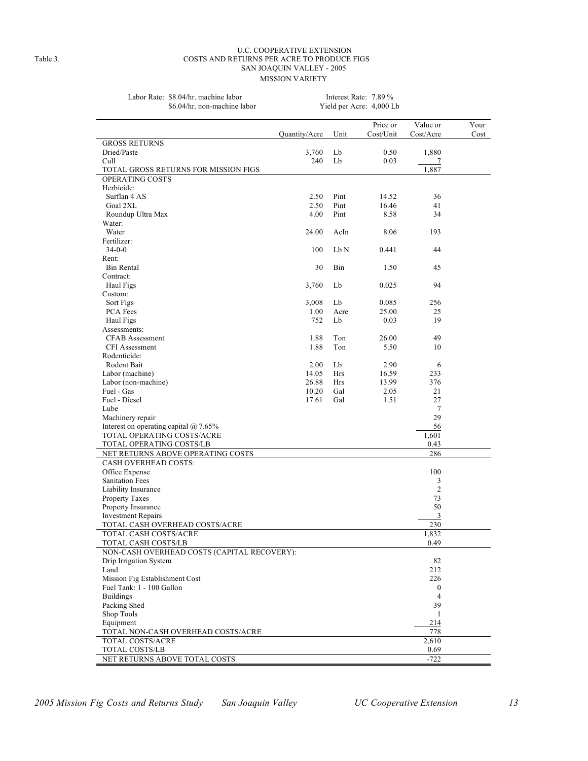#### U.C. COOPERATIVE EXTENSION Table 3. COSTS AND RETURNS PER ACRE TO PRODUCE FIGS SAN JOAQUIN VALLEY - 2005 MISSION VARIETY

| Labor Rate: \$8.04/hr. machine labor<br>\$6.04/hr. non-machine labor | Interest Rate: $7.89\%$<br>Yield per Acre: 4,000 Lb |      |           |           |      |
|----------------------------------------------------------------------|-----------------------------------------------------|------|-----------|-----------|------|
|                                                                      |                                                     |      | Price or  | Value or  | Your |
|                                                                      | Quantity/Acre                                       | Unit | Cost/Unit | Cost/Accr | Cost |
| <b>GROSS RETURNS</b>                                                 |                                                     |      |           |           |      |
| Dried/Paste                                                          | 3.760                                               | Lb   | 0.50      | 1,880     |      |
| Cull.                                                                | 240                                                 | Lb   | 0.03      |           |      |
| TOTAL GROSS RETURNS FOR MISSION FIGS                                 |                                                     |      |           | 1,887     |      |
| <b>OPERATING COSTS</b>                                               |                                                     |      |           |           |      |
| Herbicide:                                                           |                                                     |      |           |           |      |
| Surflan 4 AS                                                         | 2.50                                                | Pint | 14.52     | 36        |      |
| Goal 2XL                                                             | 2.50                                                | Pint | 16.46     | 41        |      |
| Roundup Ultra Max                                                    | 4.00                                                | Pint | 8.58      | 34        |      |
| Water:                                                               |                                                     |      |           |           |      |
| Water                                                                | 24.00                                               | AcIn | 8.06      | 193       |      |
|                                                                      |                                                     |      |           |           |      |

| Cull                                        | -,, - -<br>240 | Lb   | 0.03  | 7              |  |
|---------------------------------------------|----------------|------|-------|----------------|--|
| TOTAL GROSS RETURNS FOR MISSION FIGS        |                |      |       | 1,887          |  |
| OPERATING COSTS                             |                |      |       |                |  |
| Herbicide:                                  |                |      |       |                |  |
| Surflan 4 AS                                | 2.50           | Pint | 14.52 | 36             |  |
| Goal 2XL                                    | 2.50           | Pint | 16.46 | 41             |  |
| Roundup Ultra Max                           | 4.00           | Pint | 8.58  | 34             |  |
| Water:                                      |                |      |       |                |  |
| Water                                       | 24.00          | AcIn | 8.06  | 193            |  |
| Fertilizer:                                 |                |      |       |                |  |
| $34 - 0 - 0$                                | 100            | Lb N | 0.441 | 44             |  |
| Rent:                                       |                |      |       |                |  |
| Bin Rental                                  | 30             | Bin  | 1.50  | 45             |  |
| Contract:                                   |                |      |       |                |  |
| Haul Figs                                   | 3,760          | Lb   | 0.025 | 94             |  |
| Custom:                                     |                |      |       |                |  |
| Sort Figs                                   | 3,008          | Lb   | 0.085 | 256            |  |
| PCA Fees                                    | 1.00           | Acre | 25.00 | 25             |  |
| Haul Figs                                   | 752            | Lb   | 0.03  | 19             |  |
| Assessments:                                |                |      |       |                |  |
| <b>CFAB</b> Assessment                      | 1.88           | Ton  | 26.00 | 49             |  |
| <b>CFI</b> Assessment                       | 1.88           | Ton  | 5.50  | 10             |  |
| Rodenticide:                                |                |      |       |                |  |
| Rodent Bait                                 | 2.00           | Lb   | 2.90  | 6              |  |
| Labor (machine)                             | 14.05          | Hrs  | 16.59 | 233            |  |
| Labor (non-machine)                         | 26.88          | Hrs  | 13.99 | 376            |  |
| Fuel - Gas                                  | 10.20          | Gal  | 2.05  | 21             |  |
| Fuel - Diesel                               | 17.61          | Gal  | 1.51  | 27             |  |
| Lube                                        |                |      |       | 7              |  |
| Machinery repair                            |                |      |       | 29             |  |
| Interest on operating capital $@$ 7.65%     |                |      |       | 56             |  |
| TOTAL OPERATING COSTS/ACRE                  |                |      |       | 1,601          |  |
| TOTAL OPERATING COSTS/LB                    |                |      |       | 0.43           |  |
| NET RETURNS ABOVE OPERATING COSTS           |                |      |       | 286            |  |
| <b>CASH OVERHEAD COSTS:</b>                 |                |      |       |                |  |
| Office Expense                              |                |      |       | 100            |  |
| <b>Sanitation Fees</b>                      |                |      |       | 3              |  |
| Liability Insurance                         |                |      |       | $\overline{c}$ |  |
| <b>Property Taxes</b>                       |                |      |       | 73             |  |
| Property Insurance                          |                |      |       | 50             |  |
| <b>Investment Repairs</b>                   |                |      |       | $\overline{3}$ |  |
| TOTAL CASH OVERHEAD COSTS/ACRE              |                |      |       | 230            |  |
| TOTAL CASH COSTS/ACRE                       |                |      |       | 1,832          |  |
| TOTAL CASH COSTS/LB                         |                |      |       | 0.49           |  |
| NON-CASH OVERHEAD COSTS (CAPITAL RECOVERY): |                |      |       |                |  |
| Drip Irrigation System                      |                |      |       | 82             |  |
| Land                                        |                |      |       | 212            |  |
| Mission Fig Establishment Cost              |                |      |       | 226            |  |
| Fuel Tank: 1 - 100 Gallon                   |                |      |       | $\bf{0}$       |  |
| <b>Buildings</b>                            |                |      |       | 4              |  |
| Packing Shed                                |                |      |       | 39             |  |
| Shop Tools                                  |                |      |       | 1              |  |
| Equipment                                   |                |      |       | 214            |  |
| TOTAL NON-CASH OVERHEAD COSTS/ACRE          |                |      |       | 778            |  |
| <b>TOTAL COSTS/ACRE</b>                     |                |      |       | 2,610          |  |
| TOTAL COSTS/LB                              |                |      |       | 0.69           |  |
| NET RETURNS ABOVE TOTAL COSTS               |                |      |       | $-722$         |  |
|                                             |                |      |       |                |  |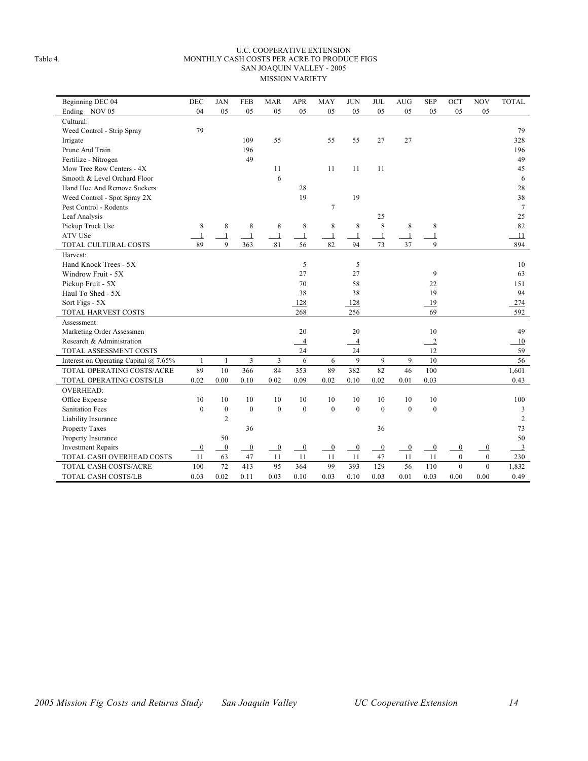#### U.C. COOPERATIVE EXTENSION Table 4. MONTHLY CASH COSTS PER ACRE TO PRODUCE FIGS SAN JOAQUIN VALLEY - 2005 MISSION VARIETY

| Beginning DEC 04                      | <b>DEC</b>       | <b>JAN</b>       | <b>FEB</b>       | <b>MAR</b>     | <b>APR</b>     | <b>MAY</b>   | <b>JUN</b>     | <b>JUL</b>       | <b>AUG</b>     | <b>SEP</b>       | OCT            | <b>NOV</b>       | <b>TOTAL</b>   |
|---------------------------------------|------------------|------------------|------------------|----------------|----------------|--------------|----------------|------------------|----------------|------------------|----------------|------------------|----------------|
| Ending NOV 05                         | 04               | 05               | 05               | 05             | 05             | 05           | 05             | 05               | 05             | 05               | 05             | 05               |                |
| Cultural:                             |                  |                  |                  |                |                |              |                |                  |                |                  |                |                  |                |
| Weed Control - Strip Spray            | 79               |                  |                  |                |                |              |                |                  |                |                  |                |                  | 79             |
| Irrigate                              |                  |                  | 109              | 55             |                | 55           | 55             | 27               | 27             |                  |                |                  | 328            |
| Prune And Train                       |                  |                  | 196              |                |                |              |                |                  |                |                  |                |                  | 196            |
| Fertilize - Nitrogen                  |                  |                  | 49               |                |                |              |                |                  |                |                  |                |                  | 49             |
| Mow Tree Row Centers - 4X             |                  |                  |                  | 11             |                | 11           | 11             | 11               |                |                  |                |                  | 45             |
| Smooth & Level Orchard Floor          |                  |                  |                  | 6              |                |              |                |                  |                |                  |                |                  | 6              |
| Hand Hoe And Remove Suckers           |                  |                  |                  |                | 28             |              |                |                  |                |                  |                |                  | 28             |
| Weed Control - Spot Spray 2X          |                  |                  |                  |                | 19             |              | 19             |                  |                |                  |                |                  | 38             |
| Pest Control - Rodents                |                  |                  |                  |                |                | $\tau$       |                |                  |                |                  |                |                  | $\overline{7}$ |
| Leaf Analysis                         |                  |                  |                  |                |                |              |                | 25               |                |                  |                |                  | 25             |
| Pickup Truck Use                      | 8                | 8                | 8                | 8              | 8              | 8            | 8              | 8                | $\,$ 8 $\,$    | 8                |                |                  | 82             |
| <b>ATV USe</b>                        | $\mathbf{1}$     | $\mathbf{1}$     | $\overline{1}$   | $\mathbf{1}$   | $\mathbf{1}$   | $\mathbf{1}$ | $\mathbf{1}$   | $\mathbf{1}$     | $\mathbf{1}$   | $\mathbf{1}$     |                |                  | 11             |
| TOTAL CULTURAL COSTS                  | 89               | 9                | 363              | 81             | 56             | 82           | 94             | 73               | 37             | $\mathbf{Q}$     |                |                  | 894            |
| Harvest:                              |                  |                  |                  |                |                |              |                |                  |                |                  |                |                  |                |
| Hand Knock Trees - 5X                 |                  |                  |                  |                | 5              |              | 5              |                  |                |                  |                |                  | 10             |
| Windrow Fruit - 5X                    |                  |                  |                  |                | 27             |              | 27             |                  |                | 9                |                |                  | 63             |
| Pickup Fruit - 5X                     |                  |                  |                  |                | 70             |              | 58             |                  |                | 22               |                |                  | 151            |
| Haul To Shed - 5X                     |                  |                  |                  |                | 38             |              | 38             |                  |                | 19               |                |                  | 94             |
| Sort Figs - 5X                        |                  |                  |                  |                | 128            |              | 128            |                  |                | 19               |                |                  | 274            |
| TOTAL HARVEST COSTS                   |                  |                  |                  |                | 268            |              | 256            |                  |                | 69               |                |                  | 592            |
| Assessment:                           |                  |                  |                  |                |                |              |                |                  |                |                  |                |                  |                |
| Marketing Order Assessmen             |                  |                  |                  |                | 20             |              | 20             |                  |                | 10               |                |                  | 49             |
| Research & Administration             |                  |                  |                  |                | $\overline{4}$ |              | $\overline{4}$ |                  |                | $\overline{2}$   |                |                  | 10             |
| TOTAL ASSESSMENT COSTS                |                  |                  |                  |                | 24             |              | 24             |                  |                | 12               |                |                  | 59             |
| Interest on Operating Capital @ 7.65% | 1                | $\mathbf{1}$     | 3                | 3              | 6              | 6            | 9              | 9                | 9              | 10               |                |                  | 56             |
| TOTAL OPERATING COSTS/ACRE            | 89               | 10               | 366              | 84             | 353            | 89           | 382            | 82               | 46             | 100              |                |                  | 1,601          |
| TOTAL OPERATING COSTS/LB              | 0.02             | 0.00             | 0.10             | 0.02           | 0.09           | 0.02         | 0.10           | 0.02             | 0.01           | 0.03             |                |                  | 0.43           |
| <b>OVERHEAD:</b>                      |                  |                  |                  |                |                |              |                |                  |                |                  |                |                  |                |
| Office Expense                        | 10               | 10               | 10               | 10             | 10             | 10           | 10             | 10               | 10             | 10               |                |                  | 100            |
| <b>Sanitation Fees</b>                | $\mathbf{0}$     | $\boldsymbol{0}$ | $\boldsymbol{0}$ | $\mathbf{0}$   | $\mathbf{0}$   | $\mathbf{0}$ | $\overline{0}$ | $\mathbf{0}$     | $\mathbf{0}$   | $\boldsymbol{0}$ |                |                  | $\mathfrak{Z}$ |
| Liability Insurance                   |                  | 2                |                  |                |                |              |                |                  |                |                  |                |                  | $\overline{2}$ |
| Property Taxes                        |                  |                  | 36               |                |                |              |                | 36               |                |                  |                |                  | 73             |
| Property Insurance                    |                  | 50               |                  |                |                |              |                |                  |                |                  |                |                  | 50             |
| <b>Investment Repairs</b>             | $\boldsymbol{0}$ | $\boldsymbol{0}$ | $\overline{0}$   | $\overline{0}$ | $\overline{0}$ | $\bf{0}$     | $\mathbf{0}$   | $\boldsymbol{0}$ | $\overline{0}$ | $\boldsymbol{0}$ | $\mathbf{0}$   | $\boldsymbol{0}$ | $\overline{3}$ |
| TOTAL CASH OVERHEAD COSTS             | 11               | 63               | 47               | 11             | 11             | 11           | 11             | 47               | 11             | 11               | $\mathbf{0}$   | $\mathbf{0}$     | 230            |
| TOTAL CASH COSTS/ACRE                 | 100              | 72               | 413              | 95             | 364            | 99           | 393            | 129              | 56             | 110              | $\overline{0}$ | $\overline{0}$   | 1,832          |
| <b>TOTAL CASH COSTS/LB</b>            | 0.03             | 0.02             | 0.11             | 0.03           | 0.10           | 0.03         | 0.10           | 0.03             | 0.01           | 0.03             | 0.00           | 0.00             | 0.49           |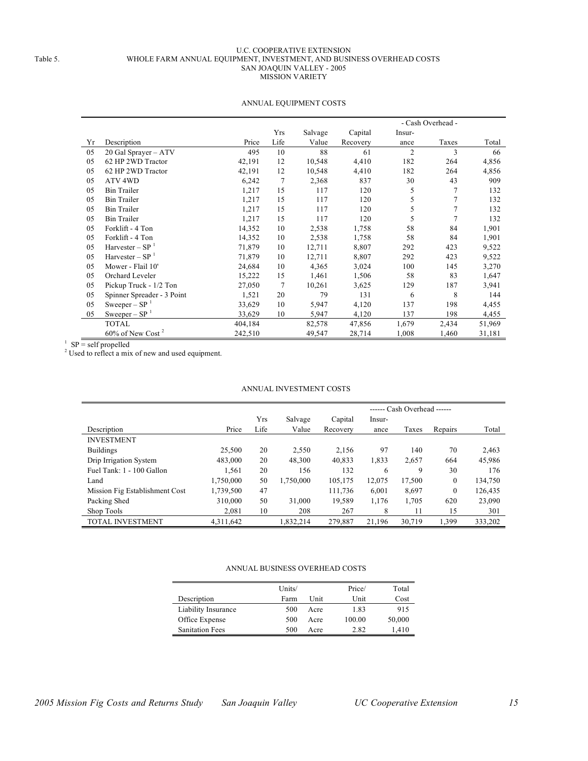#### U.C. COOPERATIVE EXTENSION Table 5. WHOLE FARM ANNUAL EQUIPMENT, INVESTMENT, AND BUSINESS OVERHEAD COSTS SAN JOAQUIN VALLEY - 2005 MISSION VARIETY

|    |                                 |         |                |         |          |                | - Cash Overhead - |        |
|----|---------------------------------|---------|----------------|---------|----------|----------------|-------------------|--------|
|    |                                 |         | <b>Yrs</b>     | Salvage | Capital  | Insur-         |                   |        |
| Yr | Description                     | Price   | Life           | Value   | Recovery | ance           | Taxes             | Total  |
| 05 | 20 Gal Sprayer - ATV            | 495     | 10             | 88      | 61       | $\overline{2}$ | 3                 | 66     |
| 05 | 62 HP 2WD Tractor               | 42,191  | 12             | 10,548  | 4,410    | 182            | 264               | 4,856  |
| 05 | 62 HP 2WD Tractor               | 42,191  | 12             | 10,548  | 4,410    | 182            | 264               | 4,856  |
| 05 | ATV <sub>4WD</sub>              | 6,242   | 7              | 2,368   | 837      | 30             | 43                | 909    |
| 05 | <b>Bin Trailer</b>              | 1,217   | 15             | 117     | 120      | 5              | 7                 | 132    |
| 05 | <b>Bin Trailer</b>              | 1,217   | 15             | 117     | 120      | 5              | 7                 | 132    |
| 05 | <b>Bin Trailer</b>              | 1,217   | 15             | 117     | 120      | 5              | 7                 | 132    |
| 05 | <b>Bin Trailer</b>              | 1,217   | 15             | 117     | 120      | 5              | 7                 | 132    |
| 05 | Forklift - 4 Ton                | 14,352  | 10             | 2,538   | 1,758    | 58             | 84                | 1,901  |
| 05 | Forklift - 4 Ton                | 14,352  | 10             | 2,538   | 1,758    | 58             | 84                | 1,901  |
| 05 | Harvester – $SP1$               | 71,879  | 10             | 12,711  | 8,807    | 292            | 423               | 9,522  |
| 05 | Harvester – $SP1$               | 71,879  | 10             | 12,711  | 8,807    | 292            | 423               | 9,522  |
| 05 | Mower - Flail 10'               | 24,684  | 10             | 4,365   | 3,024    | 100            | 145               | 3,270  |
| 05 | Orchard Leveler                 | 15,222  | 15             | 1,461   | 1,506    | 58             | 83                | 1,647  |
| 05 | Pickup Truck - 1/2 Ton          | 27,050  | $\overline{7}$ | 10,261  | 3,625    | 129            | 187               | 3,941  |
| 05 | Spinner Spreader - 3 Point      | 1,521   | 20             | 79      | 131      | 6              | 8                 | 144    |
| 05 | Sweeper – $SP1$                 | 33,629  | 10             | 5,947   | 4,120    | 137            | 198               | 4,455  |
| 05 | Sweeper – $SP^{-1}$             | 33,629  | 10             | 5,947   | 4,120    | 137            | 198               | 4,455  |
|    | <b>TOTAL</b>                    | 404,184 |                | 82,578  | 47,856   | 1,679          | 2,434             | 51,969 |
|    | $60\%$ of New Cost <sup>2</sup> | 242,510 |                | 49,547  | 28,714   | 1,008          | 1,460             | 31,181 |

#### ANNUAL EQUIPMENT COSTS

<sup>1</sup> SP = self propelled

 $2^2$  Used to reflect a mix of new and used equipment.

#### ANNUAL INVESTMENT COSTS

|                                |           |      |           |          | ------ Cash Overhead ------ |        |                  |         |  |  |
|--------------------------------|-----------|------|-----------|----------|-----------------------------|--------|------------------|---------|--|--|
|                                |           | Yrs  | Salvage   | Capital  | Insur-                      |        |                  |         |  |  |
| Description                    | Price     | Life | Value     | Recovery | ance                        | Taxes  | Repairs          | Total   |  |  |
| <b>INVESTMENT</b>              |           |      |           |          |                             |        |                  |         |  |  |
| <b>Buildings</b>               | 25,500    | 20   | 2,550     | 2,156    | 97                          | 140    | 70               | 2,463   |  |  |
| Drip Irrigation System         | 483,000   | 20   | 48,300    | 40,833   | 1,833                       | 2,657  | 664              | 45,986  |  |  |
| Fuel Tank: 1 - 100 Gallon      | 1,561     | 20   | 156       | 132      | 6                           | 9      | 30               | 176     |  |  |
| Land                           | 1,750,000 | 50   | 1,750,000 | 105,175  | 12,075                      | 17,500 | $\boldsymbol{0}$ | 134,750 |  |  |
| Mission Fig Establishment Cost | 1,739,500 | 47   |           | 111,736  | 6,001                       | 8,697  | $\boldsymbol{0}$ | 126,435 |  |  |
| Packing Shed                   | 310.000   | 50   | 31,000    | 19,589   | 1,176                       | 1,705  | 620              | 23,090  |  |  |
| Shop Tools                     | 2.081     | 10   | 208       | 267      | 8                           | 11     | 15               | 301     |  |  |
| <b>TOTAL INVESTMENT</b>        | 4,311,642 |      | 1,832,214 | 279,887  | 21,196                      | 30,719 | 1,399            | 333,202 |  |  |

#### ANNUAL BUSINESS OVERHEAD COSTS

|                        | Units/ |      | Price/ | Total  |
|------------------------|--------|------|--------|--------|
| Description            | Farm   | Unit | Unit   | Cost   |
| Liability Insurance    | 500    | Acre | 1.83   | 915    |
| Office Expense         | 500    | Acre | 100.00 | 50,000 |
| <b>Sanitation Fees</b> | 500    | Acre | 2.82   | 1,410  |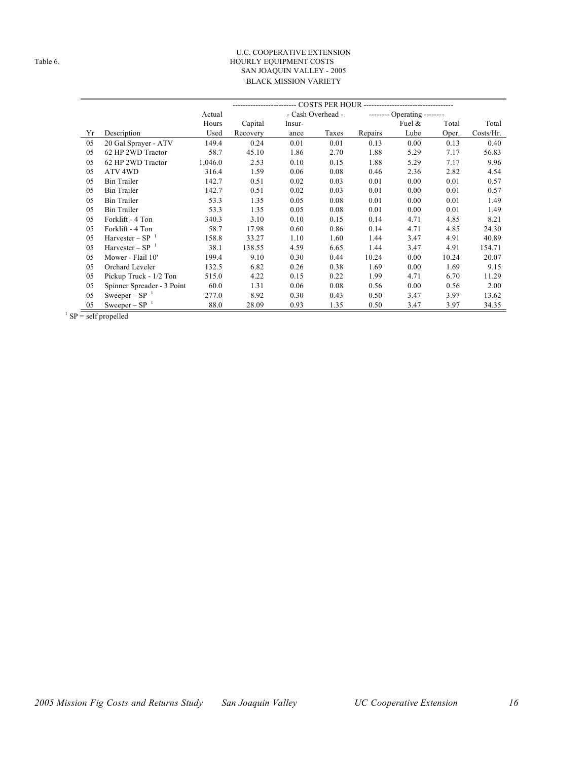#### U.C. COOPERATIVE EXTENSION Table 6. **HOURLY EQUIPMENT COSTS** SAN JOAQUIN VALLEY - 2005 BLACK MISSION VARIETY

|    |                            | Actual  |          |        | - Cash Overhead - |         | -------- Operating -------- |       |           |  |
|----|----------------------------|---------|----------|--------|-------------------|---------|-----------------------------|-------|-----------|--|
|    |                            | Hours   | Capital  | Insur- |                   |         | Fuel $\&$                   | Total | Total     |  |
| Yr | Description                | Used    | Recovery | ance   | Taxes             | Repairs | Lube                        | Oper. | Costs/Hr. |  |
| 05 | 20 Gal Sprayer - ATV       | 149.4   | 0.24     | 0.01   | 0.01              | 0.13    | 0.00                        | 0.13  | 0.40      |  |
| 05 | 62 HP 2WD Tractor          | 58.7    | 45.10    | 1.86   | 2.70              | 1.88    | 5.29                        | 7.17  | 56.83     |  |
| 05 | 62 HP 2WD Tractor          | 1,046.0 | 2.53     | 0.10   | 0.15              | 1.88    | 5.29                        | 7.17  | 9.96      |  |
| 05 | ATV 4WD                    | 316.4   | 1.59     | 0.06   | 0.08              | 0.46    | 2.36                        | 2.82  | 4.54      |  |
| 05 | <b>Bin Trailer</b>         | 142.7   | 0.51     | 0.02   | 0.03              | 0.01    | 0.00                        | 0.01  | 0.57      |  |
| 05 | <b>Bin Trailer</b>         | 142.7   | 0.51     | 0.02   | 0.03              | 0.01    | 0.00                        | 0.01  | 0.57      |  |
| 05 | <b>Bin Trailer</b>         | 53.3    | 1.35     | 0.05   | 0.08              | 0.01    | 0.00                        | 0.01  | 1.49      |  |
| 05 | <b>Bin Trailer</b>         | 53.3    | 1.35     | 0.05   | 0.08              | 0.01    | 0.00                        | 0.01  | 1.49      |  |
| 05 | Forklift - 4 Ton           | 340.3   | 3.10     | 0.10   | 0.15              | 0.14    | 4.71                        | 4.85  | 8.21      |  |
| 05 | Forklift - 4 Ton           | 58.7    | 17.98    | 0.60   | 0.86              | 0.14    | 4.71                        | 4.85  | 24.30     |  |
| 05 | Harvester – $SP^{-1}$      | 158.8   | 33.27    | 1.10   | 1.60              | 1.44    | 3.47                        | 4.91  | 40.89     |  |
| 05 | Harvester – $SP^{-1}$      | 38.1    | 138.55   | 4.59   | 6.65              | 1.44    | 3.47                        | 4.91  | 154.71    |  |
| 05 | Mower - Flail 10'          | 199.4   | 9.10     | 0.30   | 0.44              | 10.24   | 0.00                        | 10.24 | 20.07     |  |
| 05 | Orchard Leveler            | 132.5   | 6.82     | 0.26   | 0.38              | 1.69    | 0.00                        | 1.69  | 9.15      |  |
| 05 | Pickup Truck - 1/2 Ton     | 515.0   | 4.22     | 0.15   | 0.22              | 1.99    | 4.71                        | 6.70  | 11.29     |  |
| 05 | Spinner Spreader - 3 Point | 60.0    | 1.31     | 0.06   | 0.08              | 0.56    | 0.00                        | 0.56  | 2.00      |  |
| 05 | Sweeper – $SP^{-1}$        | 277.0   | 8.92     | 0.30   | 0.43              | 0.50    | 3.47                        | 3.97  | 13.62     |  |
| 05 | Sweeper – $SP^{-1}$        | 88.0    | 28.09    | 0.93   | 1.35              | 0.50    | 3.47                        | 3.97  | 34.35     |  |

SP = self propelled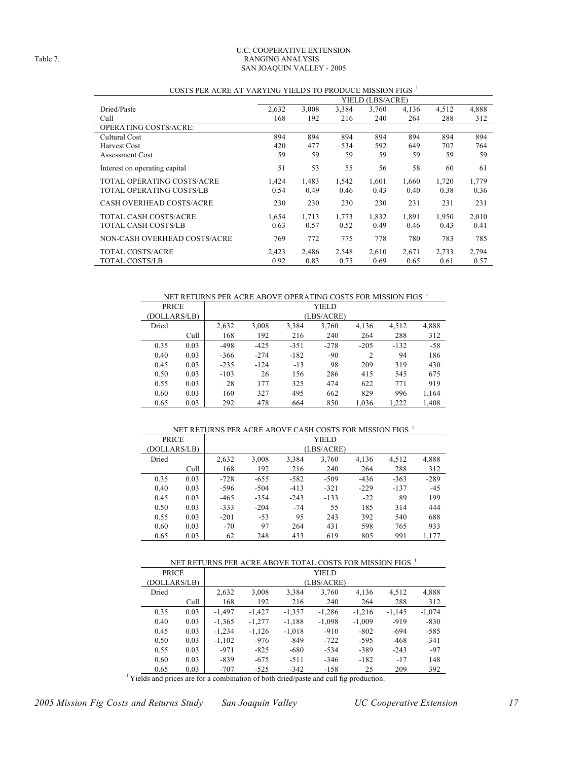#### U.C. COOPERATIVE EXTENSION Table 7. RANGING ANALYSIS SAN JOAQUIN VALLEY - 2005

| COSTS PER ACRE AT VARTING TIELDS TO PRODUCE MISSION FIGS |       |       |       |                  |       |       |       |
|----------------------------------------------------------|-------|-------|-------|------------------|-------|-------|-------|
|                                                          |       |       |       | YIELD (LBS/ACRE) |       |       |       |
| Dried/Paste                                              | 2,632 | 3,008 | 3,384 | 3,760            | 4,136 | 4,512 | 4,888 |
| Cull                                                     | 168   | 192   | 216   | 240              | 264   | 288   | 312   |
| OPERATING COSTS/ACRE:                                    |       |       |       |                  |       |       |       |
| Cultural Cost                                            | 894   | 894   | 894   | 894              | 894   | 894   | 894   |
| <b>Harvest Cost</b>                                      | 420   | 477   | 534   | 592              | 649   | 707   | 764   |
| <b>Assessment Cost</b>                                   | 59    | 59    | 59    | 59               | 59    | 59    | 59    |
| Interest on operating capital                            | 51    | 53    | 55    | 56               | 58    | 60    | 61    |
| TOTAL OPERATING COSTS/ACRE                               | 1.424 | 1,483 | 1,542 | 1,601            | 1,660 | 1,720 | 1,779 |
| TOTAL OPERATING COSTS/LB                                 | 0.54  | 0.49  | 0.46  | 0.43             | 0.40  | 0.38  | 0.36  |
| <b>CASH OVERHEAD COSTS/ACRE</b>                          | 230   | 230   | 230   | 230              | 231   | 231   | 231   |
| TOTAL CASH COSTS/ACRE                                    | 1.654 | 1.713 | 1,773 | 1,832            | 1,891 | 1,950 | 2,010 |
| TOTAL CASH COSTS/LB                                      | 0.63  | 0.57  | 0.52  | 0.49             | 0.46  | 0.43  | 0.41  |
| NON-CASH OVERHEAD COSTS/ACRE                             | 769   | 772   | 775   | 778              | 780   | 783   | 785   |
| TOTAL COSTS/ACRE                                         | 2,423 | 2,486 | 2,548 | 2,610            | 2,671 | 2,733 | 2,794 |
| TOTAL COSTS/LB                                           | 0.92  | 0.83  | 0.75  | 0.69             | 0.65  | 0.61  | 0.57  |

#### COSTS PER ACRE AT VARYING YIELDS TO PRODUCE MISSION FIGS  $^{\mathrm{1}}$

NET RETURNS PER ACRE ABOVE OPERATING COSTS FOR MISSION FIGS <sup>1</sup>

| <b>PRICE</b> |      |        |            |        | YIELD  |                |        |       |  |  |
|--------------|------|--------|------------|--------|--------|----------------|--------|-------|--|--|
| (DOLLARS/LB) |      |        | (LBS/ACRE) |        |        |                |        |       |  |  |
| Dried        |      | 2,632  | 3,008      | 3,384  | 3,760  | 4,136          | 4,512  | 4,888 |  |  |
|              | Cull | 168    | 192        | 216    | 240    | 264            | 288    | 312   |  |  |
| 0.35         | 0.03 | $-498$ | $-425$     | $-351$ | $-278$ | $-205$         | $-132$ | $-58$ |  |  |
| 0.40         | 0.03 | $-366$ | $-274$     | $-182$ | $-90$  | $\overline{c}$ | 94     | 186   |  |  |
| 0.45         | 0.03 | $-235$ | $-124$     | $-13$  | 98     | 209            | 319    | 430   |  |  |
| 0.50         | 0.03 | $-103$ | 26         | 156    | 286    | 415            | 545    | 675   |  |  |
| 0.55         | 0.03 | 28     | 177        | 325    | 474    | 622            | 771    | 919   |  |  |
| 0.60         | 0.03 | 160    | 327        | 495    | 662    | 829            | 996    | 1,164 |  |  |
| 0.65         | 0.03 | 292    | 478        | 664    | 850    | 1.036          | 1.222  | 1,408 |  |  |

#### NET RETURNS PER ACRE ABOVE CASH COSTS FOR MISSION FIGS  $^{\rm 1}$

| <b>PRICE</b> |      |        |        |        | YIELD      |        |        |        |
|--------------|------|--------|--------|--------|------------|--------|--------|--------|
| (DOLLARS/LB) |      |        |        |        | (LBS/ACRE) |        |        |        |
| Dried        |      | 2,632  | 3,008  | 3.384  | 3,760      | 4,136  | 4,512  | 4,888  |
|              | Cull | 168    | 192    | 216    | 240        | 264    | 288    | 312    |
| 0.35         | 0.03 | $-728$ | $-655$ | $-582$ | $-509$     | $-436$ | $-363$ | $-289$ |
| 0.40         | 0.03 | $-596$ | $-504$ | $-413$ | $-321$     | $-229$ | $-137$ | $-45$  |
| 0.45         | 0.03 | $-465$ | $-354$ | $-243$ | $-133$     | $-22$  | 89     | 199    |
| 0.50         | 0.03 | $-333$ | $-204$ | $-74$  | 55         | 185    | 314    | 444    |
| 0.55         | 0.03 | $-201$ | $-53$  | 95     | 243        | 392    | 540    | 688    |
| 0.60         | 0.03 | $-70$  | 97     | 264    | 431        | 598    | 765    | 933    |
| 0.65         | 0.03 | 62     | 248    | 433    | 619        | 805    | 991    | 1.177  |

|              | NET RETURNS PER ACRE ABOVE TOTAL COSTS FOR MISSION FIGS 1 |          |            |          |          |          |          |          |  |  |  |
|--------------|-----------------------------------------------------------|----------|------------|----------|----------|----------|----------|----------|--|--|--|
| <b>PRICE</b> |                                                           |          | YIELD      |          |          |          |          |          |  |  |  |
| (DOLLARS/LB) |                                                           |          | (LBS/ACRE) |          |          |          |          |          |  |  |  |
| Dried        |                                                           | 2,632    | 3,008      | 3,384    | 3,760    | 4,136    | 4,512    | 4,888    |  |  |  |
|              | Cull                                                      | 168      | 192        | 216      | 240      | 264      | 288      | 312      |  |  |  |
| 0.35         | 0.03                                                      | $-1,497$ | $-1,427$   | $-1.357$ | $-1,286$ | $-1,216$ | $-1,145$ | $-1,074$ |  |  |  |
| 0.40         | 0.03                                                      | $-1,365$ | $-1,277$   | $-1,188$ | $-1,098$ | $-1,009$ | $-919$   | $-830$   |  |  |  |
| 0.45         | 0.03                                                      | $-1,234$ | $-1,126$   | $-1,018$ | $-910$   | $-802$   | $-694$   | $-585$   |  |  |  |
| 0.50         | 0.03                                                      | $-1,102$ | -976       | $-849$   | $-722$   | $-595$   | $-468$   | $-341$   |  |  |  |
| 0.55         | 0.03                                                      | $-971$   | $-825$     | $-680$   | $-534$   | $-389$   | $-243$   | $-97$    |  |  |  |
| 0.60         | 0.03                                                      | $-839$   | $-675$     | $-511$   | $-346$   | $-182$   | $-17$    | 148      |  |  |  |
| 0.65         | 0.03                                                      | $-707$   | $-525$     | $-342$   | $-158$   | 25       | 209      | 392      |  |  |  |

 $1$ <sup>1</sup> Yields and prices are for a combination of both dried/paste and cull fig production.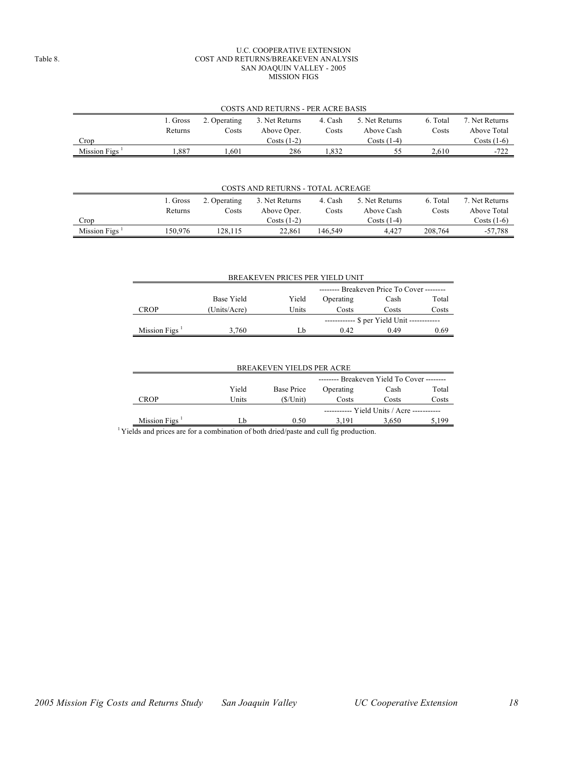#### U.C. COOPERATIVE EXTENSION Table 8. COST AND RETURNS/BREAKEVEN ANALYSIS SAN JOAQUIN VALLEY - 2005 MISSION FIGS

|              | COSTS AND RETURNS - PER ACRE BASIS |              |                |         |                |          |                |  |  |  |
|--------------|------------------------------------|--------------|----------------|---------|----------------|----------|----------------|--|--|--|
|              | 1. Gross                           | 2. Operating | 3. Net Returns | 4. Cash | 5. Net Returns | 6. Total | 7. Net Returns |  |  |  |
|              | Returns                            | Costs        | Above Oper.    | Costs   | Above Cash     | Costs    | Above Total    |  |  |  |
| Crop         |                                    |              | $Costs(1-2)$   |         | $Costs(1-4)$   |          | Costs $(1-6)$  |  |  |  |
| Mission Figs | .887                               | .601         | 286            | .832    | CC             | 2.610    | $-722$         |  |  |  |

#### COSTS AND RETURNS - TOTAL ACREAGE

|              |          |              | COSTS AIND RETURNS - TOTAL ACREAGE |         |                |          |                |
|--------------|----------|--------------|------------------------------------|---------|----------------|----------|----------------|
|              | 1. Gross | 2. Operating | 3. Net Returns                     | 4. Cash | 5. Net Returns | 6. Total | 7. Net Returns |
|              | Returns  | Costs        | Above Oper.                        | Costs   | Above Cash     | Costs    | Above Total    |
| Crop         |          |              | $Costs(1-2)$                       |         | Costs $(1-4)$  |          | Costs (1-6)    |
| Mission Figs | 150.976  | 128.115      | 22.861                             | 146.549 | 4.427          | 208.764  | -57.788        |

|                  |                                            |       | BREAKEVEN PRICES PER YIELD UNIT |                                           |       |  |  |  |  |  |
|------------------|--------------------------------------------|-------|---------------------------------|-------------------------------------------|-------|--|--|--|--|--|
|                  | -------- Breakeven Price To Cover -------- |       |                                 |                                           |       |  |  |  |  |  |
|                  | Base Yield                                 | Yield | Operating                       | Cash                                      | Total |  |  |  |  |  |
| CROP             | (Units/Acre)                               | Units | Costs                           | Costs                                     | Costs |  |  |  |  |  |
|                  |                                            |       |                                 | ----------- \$ per Yield Unit ----------- |       |  |  |  |  |  |
| Mission Figs $1$ | 3.760                                      | I b   | 0.42                            | 0.49                                      | 0.69  |  |  |  |  |  |

| <b>BREAKEVEN YIELDS PER ACRE</b>           |            |           |       |                                                      |  |  |  |  |  |  |
|--------------------------------------------|------------|-----------|-------|------------------------------------------------------|--|--|--|--|--|--|
| -------- Breakeven Yield To Cover -------- |            |           |       |                                                      |  |  |  |  |  |  |
| Yield                                      | Base Price | Operating | Cash  | Total                                                |  |  |  |  |  |  |
| Units                                      | (S/Unit)   | Costs     | Costs | Costs                                                |  |  |  |  |  |  |
|                                            |            |           |       |                                                      |  |  |  |  |  |  |
| I h                                        | 0.50       | 3.191     | 3.650 | 5.199                                                |  |  |  |  |  |  |
|                                            |            |           |       | ----------- Yield Units / Acre -----------<br>.<br>. |  |  |  |  |  |  |

<sup>1</sup> Yields and prices are for a combination of both dried/paste and cull fig production.